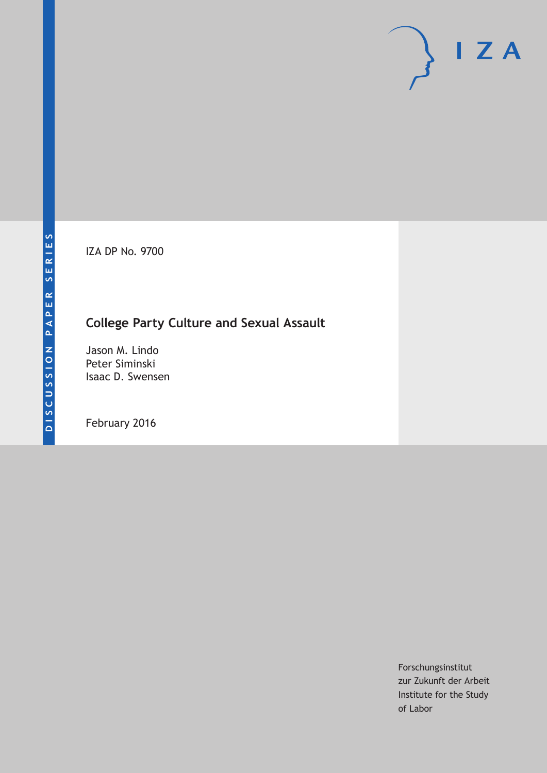IZA DP No. 9700

## **College Party Culture and Sexual Assault**

Jason M. Lindo Peter Siminski Isaac D. Swensen

February 2016

Forschungsinstitut zur Zukunft der Arbeit Institute for the Study of Labor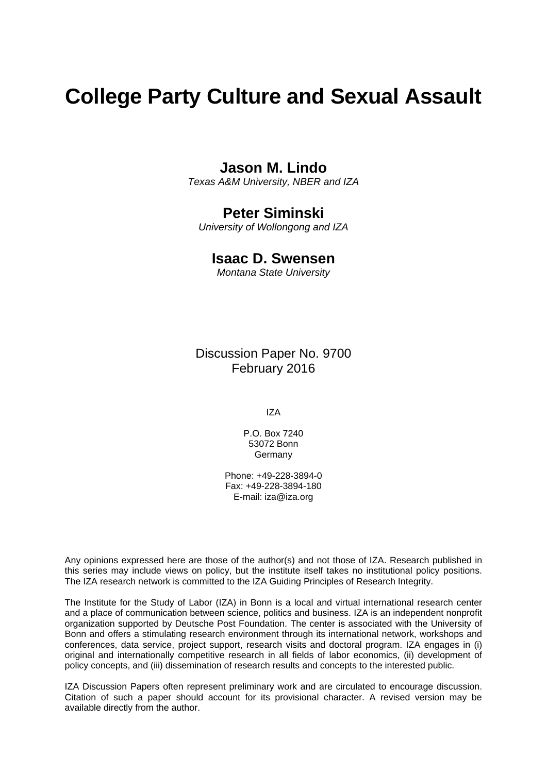# **College Party Culture and Sexual Assault**

## **Jason M. Lindo**

*Texas A&M University, NBER and IZA* 

## **Peter Siminski**

*University of Wollongong and IZA* 

## **Isaac D. Swensen**

*Montana State University*

Discussion Paper No. 9700 February 2016

IZA

P.O. Box 7240 53072 Bonn **Germany** 

Phone: +49-228-3894-0 Fax: +49-228-3894-180 E-mail: iza@iza.org

Any opinions expressed here are those of the author(s) and not those of IZA. Research published in this series may include views on policy, but the institute itself takes no institutional policy positions. The IZA research network is committed to the IZA Guiding Principles of Research Integrity.

The Institute for the Study of Labor (IZA) in Bonn is a local and virtual international research center and a place of communication between science, politics and business. IZA is an independent nonprofit organization supported by Deutsche Post Foundation. The center is associated with the University of Bonn and offers a stimulating research environment through its international network, workshops and conferences, data service, project support, research visits and doctoral program. IZA engages in (i) original and internationally competitive research in all fields of labor economics, (ii) development of policy concepts, and (iii) dissemination of research results and concepts to the interested public.

IZA Discussion Papers often represent preliminary work and are circulated to encourage discussion. Citation of such a paper should account for its provisional character. A revised version may be available directly from the author.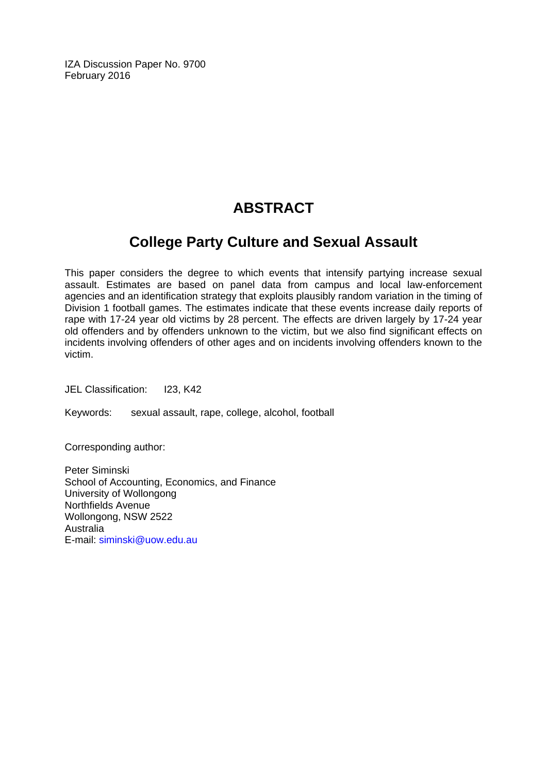IZA Discussion Paper No. 9700 February 2016

## **ABSTRACT**

## **College Party Culture and Sexual Assault**

This paper considers the degree to which events that intensify partying increase sexual assault. Estimates are based on panel data from campus and local law-enforcement agencies and an identification strategy that exploits plausibly random variation in the timing of Division 1 football games. The estimates indicate that these events increase daily reports of rape with 17-24 year old victims by 28 percent. The effects are driven largely by 17-24 year old offenders and by offenders unknown to the victim, but we also find significant effects on incidents involving offenders of other ages and on incidents involving offenders known to the victim.

JEL Classification: I23, K42

Keywords: sexual assault, rape, college, alcohol, football

Corresponding author:

Peter Siminski School of Accounting, Economics, and Finance University of Wollongong Northfields Avenue Wollongong, NSW 2522 Australia E-mail: siminski@uow.edu.au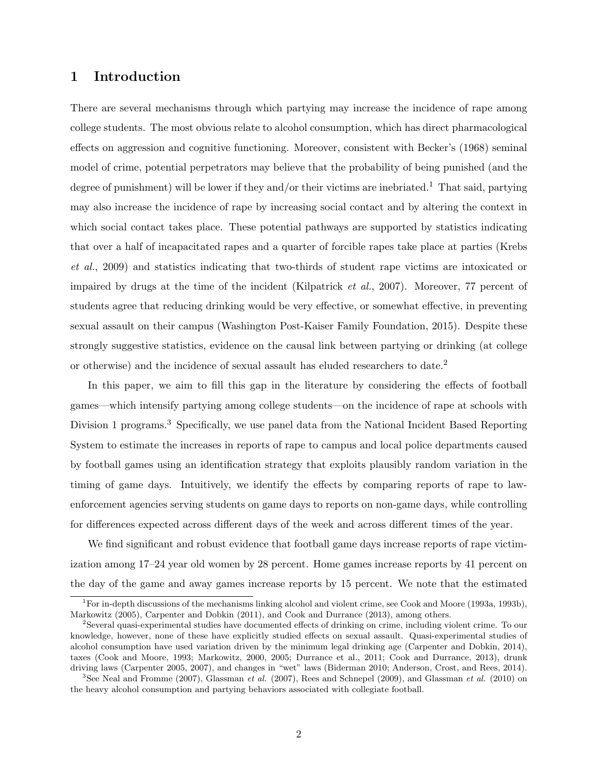## 1 Introduction

There are several mechanisms through which partying may increase the incidence of rape among college students. The most obvious relate to alcohol consumption, which has direct pharmacological effects on aggression and cognitive functioning. Moreover, consistent with Becker's (1968) seminal model of crime, potential perpetrators may believe that the probability of being punished (and the degree of punishment) will be lower if they and/or their victims are inebriated.<sup>1</sup> That said, partying may also increase the incidence of rape by increasing social contact and by altering the context in which social contact takes place. These potential pathways are supported by statistics indicating that over a half of incapacitated rapes and a quarter of forcible rapes take place at parties (Krebs et al., 2009) and statistics indicating that two-thirds of student rape victims are intoxicated or impaired by drugs at the time of the incident (Kilpatrick et al., 2007). Moreover, 77 percent of students agree that reducing drinking would be very effective, or somewhat effective, in preventing sexual assault on their campus (Washington Post-Kaiser Family Foundation, 2015). Despite these strongly suggestive statistics, evidence on the causal link between partying or drinking (at college or otherwise) and the incidence of sexual assault has eluded researchers to date.<sup>2</sup>

In this paper, we aim to fill this gap in the literature by considering the effects of football games—which intensify partying among college students—on the incidence of rape at schools with Division 1 programs.<sup>3</sup> Specifically, we use panel data from the National Incident Based Reporting System to estimate the increases in reports of rape to campus and local police departments caused by football games using an identification strategy that exploits plausibly random variation in the timing of game days. Intuitively, we identify the effects by comparing reports of rape to lawenforcement agencies serving students on game days to reports on non-game days, while controlling for differences expected across different days of the week and across different times of the year.

We find significant and robust evidence that football game days increase reports of rape victimization among 17–24 year old women by 28 percent. Home games increase reports by 41 percent on the day of the game and away games increase reports by 15 percent. We note that the estimated

<sup>&</sup>lt;sup>1</sup>For in-depth discussions of the mechanisms linking alcohol and violent crime, see Cook and Moore (1993a, 1993b), Markowitz (2005), Carpenter and Dobkin (2011), and Cook and Durrance (2013), among others.

<sup>2</sup>Several quasi-experimental studies have documented effects of drinking on crime, including violent crime. To our knowledge, however, none of these have explicitly studied effects on sexual assault. Quasi-experimental studies of alcohol consumption have used variation driven by the minimum legal drinking age (Carpenter and Dobkin, 2014), taxes (Cook and Moore, 1993; Markowitz, 2000, 2005; Durrance et al., 2011; Cook and Durrance, 2013), drunk driving laws (Carpenter 2005, 2007), and changes in "wet" laws (Biderman 2010; Anderson, Crost, and Rees, 2014).

<sup>&</sup>lt;sup>3</sup>See Neal and Fromme (2007), Glassman et al. (2007), Rees and Schnepel (2009), and Glassman et al. (2010) on the heavy alcohol consumption and partying behaviors associated with collegiate football.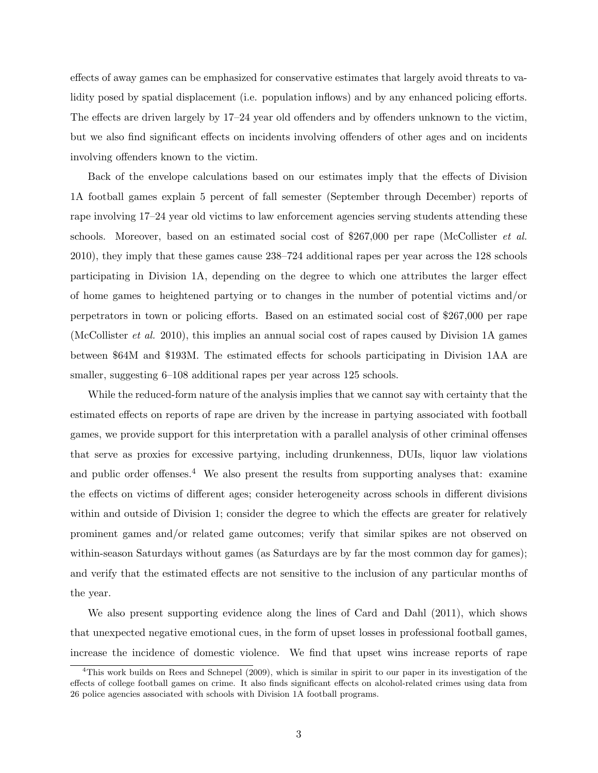effects of away games can be emphasized for conservative estimates that largely avoid threats to validity posed by spatial displacement (i.e. population inflows) and by any enhanced policing efforts. The effects are driven largely by 17–24 year old offenders and by offenders unknown to the victim, but we also find significant effects on incidents involving offenders of other ages and on incidents involving offenders known to the victim.

Back of the envelope calculations based on our estimates imply that the effects of Division 1A football games explain 5 percent of fall semester (September through December) reports of rape involving 17–24 year old victims to law enforcement agencies serving students attending these schools. Moreover, based on an estimated social cost of  $$267,000$  per rape (McCollister *et al.*) 2010), they imply that these games cause 238–724 additional rapes per year across the 128 schools participating in Division 1A, depending on the degree to which one attributes the larger effect of home games to heightened partying or to changes in the number of potential victims and/or perpetrators in town or policing efforts. Based on an estimated social cost of \$267,000 per rape (McCollister et al. 2010), this implies an annual social cost of rapes caused by Division 1A games between \$64M and \$193M. The estimated effects for schools participating in Division 1AA are smaller, suggesting  $6-108$  additional rapes per year across 125 schools.

While the reduced-form nature of the analysis implies that we cannot say with certainty that the estimated effects on reports of rape are driven by the increase in partying associated with football games, we provide support for this interpretation with a parallel analysis of other criminal offenses that serve as proxies for excessive partying, including drunkenness, DUIs, liquor law violations and public order offenses.<sup>4</sup> We also present the results from supporting analyses that: examine the effects on victims of different ages; consider heterogeneity across schools in different divisions within and outside of Division 1; consider the degree to which the effects are greater for relatively prominent games and/or related game outcomes; verify that similar spikes are not observed on within-season Saturdays without games (as Saturdays are by far the most common day for games); and verify that the estimated effects are not sensitive to the inclusion of any particular months of the year.

We also present supporting evidence along the lines of Card and Dahl (2011), which shows that unexpected negative emotional cues, in the form of upset losses in professional football games, increase the incidence of domestic violence. We find that upset wins increase reports of rape

<sup>&</sup>lt;sup>4</sup>This work builds on Rees and Schnepel (2009), which is similar in spirit to our paper in its investigation of the effects of college football games on crime. It also finds significant effects on alcohol-related crimes using data from 26 police agencies associated with schools with Division 1A football programs.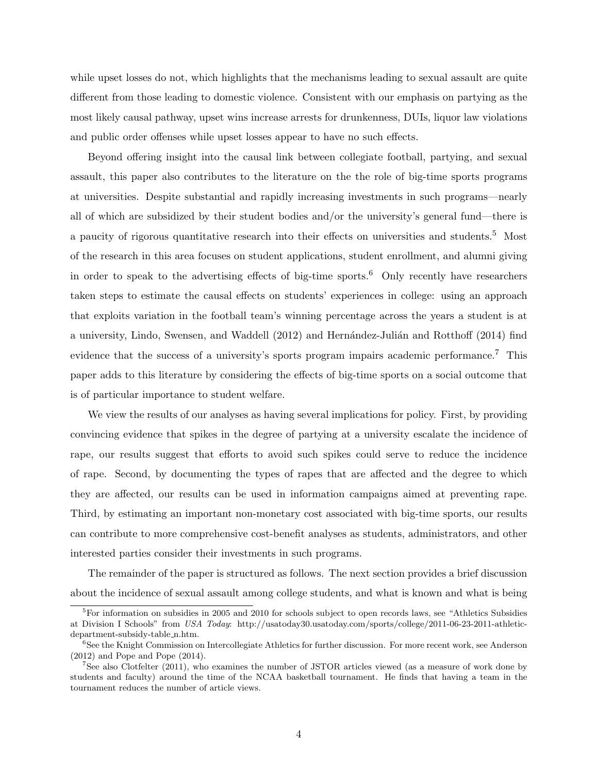while upset losses do not, which highlights that the mechanisms leading to sexual assault are quite different from those leading to domestic violence. Consistent with our emphasis on partying as the most likely causal pathway, upset wins increase arrests for drunkenness, DUIs, liquor law violations and public order offenses while upset losses appear to have no such effects.

Beyond offering insight into the causal link between collegiate football, partying, and sexual assault, this paper also contributes to the literature on the the role of big-time sports programs at universities. Despite substantial and rapidly increasing investments in such programs—nearly all of which are subsidized by their student bodies and/or the university's general fund—there is a paucity of rigorous quantitative research into their effects on universities and students.<sup>5</sup> Most of the research in this area focuses on student applications, student enrollment, and alumni giving in order to speak to the advertising effects of big-time sports.<sup>6</sup> Only recently have researchers taken steps to estimate the causal effects on students' experiences in college: using an approach that exploits variation in the football team's winning percentage across the years a student is at a university, Lindo, Swensen, and Waddell (2012) and Hernández-Julián and Rotthoff (2014) find evidence that the success of a university's sports program impairs academic performance.<sup>7</sup> This paper adds to this literature by considering the effects of big-time sports on a social outcome that is of particular importance to student welfare.

We view the results of our analyses as having several implications for policy. First, by providing convincing evidence that spikes in the degree of partying at a university escalate the incidence of rape, our results suggest that efforts to avoid such spikes could serve to reduce the incidence of rape. Second, by documenting the types of rapes that are affected and the degree to which they are affected, our results can be used in information campaigns aimed at preventing rape. Third, by estimating an important non-monetary cost associated with big-time sports, our results can contribute to more comprehensive cost-benefit analyses as students, administrators, and other interested parties consider their investments in such programs.

The remainder of the paper is structured as follows. The next section provides a brief discussion about the incidence of sexual assault among college students, and what is known and what is being

 ${}^{5}$ For information on subsidies in 2005 and 2010 for schools subject to open records laws, see "Athletics Subsidies" at Division I Schools" from USA Today: http://usatoday30.usatoday.com/sports/college/2011-06-23-2011-athleticdepartment-subsidy-table n.htm.

<sup>&</sup>lt;sup>6</sup>See the Knight Commission on Intercollegiate Athletics for further discussion. For more recent work, see Anderson (2012) and Pope and Pope (2014).

<sup>&</sup>lt;sup>7</sup>See also Clotfelter (2011), who examines the number of JSTOR articles viewed (as a measure of work done by students and faculty) around the time of the NCAA basketball tournament. He finds that having a team in the tournament reduces the number of article views.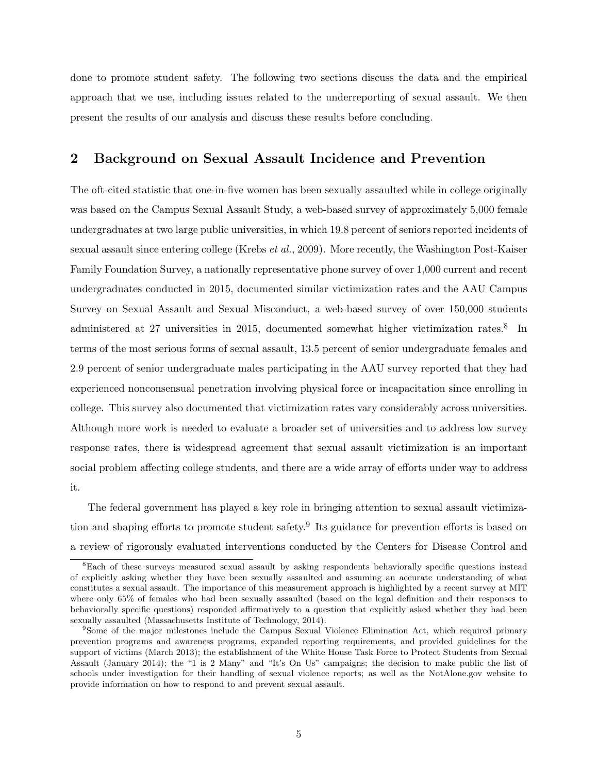done to promote student safety. The following two sections discuss the data and the empirical approach that we use, including issues related to the underreporting of sexual assault. We then present the results of our analysis and discuss these results before concluding.

### 2 Background on Sexual Assault Incidence and Prevention

The oft-cited statistic that one-in-five women has been sexually assaulted while in college originally was based on the Campus Sexual Assault Study, a web-based survey of approximately 5,000 female undergraduates at two large public universities, in which 19.8 percent of seniors reported incidents of sexual assault since entering college (Krebs et al., 2009). More recently, the Washington Post-Kaiser Family Foundation Survey, a nationally representative phone survey of over 1,000 current and recent undergraduates conducted in 2015, documented similar victimization rates and the AAU Campus Survey on Sexual Assault and Sexual Misconduct, a web-based survey of over 150,000 students administered at 27 universities in 2015, documented somewhat higher victimization rates.<sup>8</sup> In terms of the most serious forms of sexual assault, 13.5 percent of senior undergraduate females and 2.9 percent of senior undergraduate males participating in the AAU survey reported that they had experienced nonconsensual penetration involving physical force or incapacitation since enrolling in college. This survey also documented that victimization rates vary considerably across universities. Although more work is needed to evaluate a broader set of universities and to address low survey response rates, there is widespread agreement that sexual assault victimization is an important social problem affecting college students, and there are a wide array of efforts under way to address it.

The federal government has played a key role in bringing attention to sexual assault victimization and shaping efforts to promote student safety.<sup>9</sup> Its guidance for prevention efforts is based on a review of rigorously evaluated interventions conducted by the Centers for Disease Control and

<sup>8</sup>Each of these surveys measured sexual assault by asking respondents behaviorally specific questions instead of explicitly asking whether they have been sexually assaulted and assuming an accurate understanding of what constitutes a sexual assault. The importance of this measurement approach is highlighted by a recent survey at MIT where only 65% of females who had been sexually assaulted (based on the legal definition and their responses to behaviorally specific questions) responded affirmatively to a question that explicitly asked whether they had been sexually assaulted (Massachusetts Institute of Technology, 2014).

<sup>9</sup>Some of the major milestones include the Campus Sexual Violence Elimination Act, which required primary prevention programs and awareness programs, expanded reporting requirements, and provided guidelines for the support of victims (March 2013); the establishment of the White House Task Force to Protect Students from Sexual Assault (January 2014); the "1 is 2 Many" and "It's On Us" campaigns; the decision to make public the list of schools under investigation for their handling of sexual violence reports; as well as the NotAlone.gov website to provide information on how to respond to and prevent sexual assault.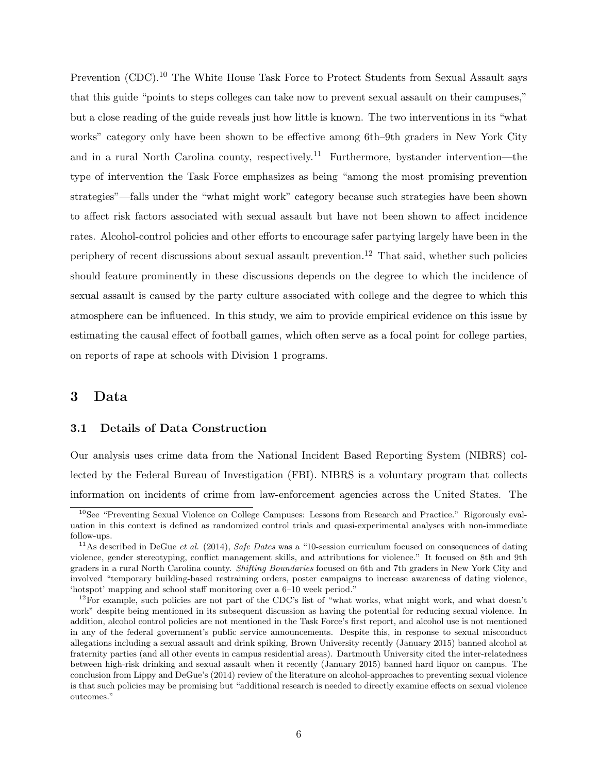Prevention (CDC).<sup>10</sup> The White House Task Force to Protect Students from Sexual Assault says that this guide "points to steps colleges can take now to prevent sexual assault on their campuses," but a close reading of the guide reveals just how little is known. The two interventions in its "what works" category only have been shown to be effective among 6th–9th graders in New York City and in a rural North Carolina county, respectively.<sup>11</sup> Furthermore, bystander intervention—the type of intervention the Task Force emphasizes as being "among the most promising prevention strategies"—falls under the "what might work" category because such strategies have been shown to affect risk factors associated with sexual assault but have not been shown to affect incidence rates. Alcohol-control policies and other efforts to encourage safer partying largely have been in the periphery of recent discussions about sexual assault prevention.<sup>12</sup> That said, whether such policies should feature prominently in these discussions depends on the degree to which the incidence of sexual assault is caused by the party culture associated with college and the degree to which this atmosphere can be influenced. In this study, we aim to provide empirical evidence on this issue by estimating the causal effect of football games, which often serve as a focal point for college parties, on reports of rape at schools with Division 1 programs.

### <span id="page-7-0"></span>3 Data

#### 3.1 Details of Data Construction

Our analysis uses crime data from the National Incident Based Reporting System (NIBRS) collected by the Federal Bureau of Investigation (FBI). NIBRS is a voluntary program that collects information on incidents of crime from law-enforcement agencies across the United States. The

<sup>10</sup>See "Preventing Sexual Violence on College Campuses: Lessons from Research and Practice." Rigorously evaluation in this context is defined as randomized control trials and quasi-experimental analyses with non-immediate follow-ups.

<sup>&</sup>lt;sup>11</sup>As described in DeGue *et al.* (2014), Safe Dates was a "10-session curriculum focused on consequences of dating violence, gender stereotyping, conflict management skills, and attributions for violence." It focused on 8th and 9th graders in a rural North Carolina county. Shifting Boundaries focused on 6th and 7th graders in New York City and involved "temporary building-based restraining orders, poster campaigns to increase awareness of dating violence, 'hotspot' mapping and school staff monitoring over a 6–10 week period."

 $12$ For example, such policies are not part of the CDC's list of "what works, what might work, and what doesn't work" despite being mentioned in its subsequent discussion as having the potential for reducing sexual violence. In addition, alcohol control policies are not mentioned in the Task Force's first report, and alcohol use is not mentioned in any of the federal government's public service announcements. Despite this, in response to sexual misconduct allegations including a sexual assault and drink spiking, Brown University recently (January 2015) banned alcohol at fraternity parties (and all other events in campus residential areas). Dartmouth University cited the inter-relatedness between high-risk drinking and sexual assault when it recently (January 2015) banned hard liquor on campus. The conclusion from Lippy and DeGue's (2014) review of the literature on alcohol-approaches to preventing sexual violence is that such policies may be promising but "additional research is needed to directly examine effects on sexual violence outcomes."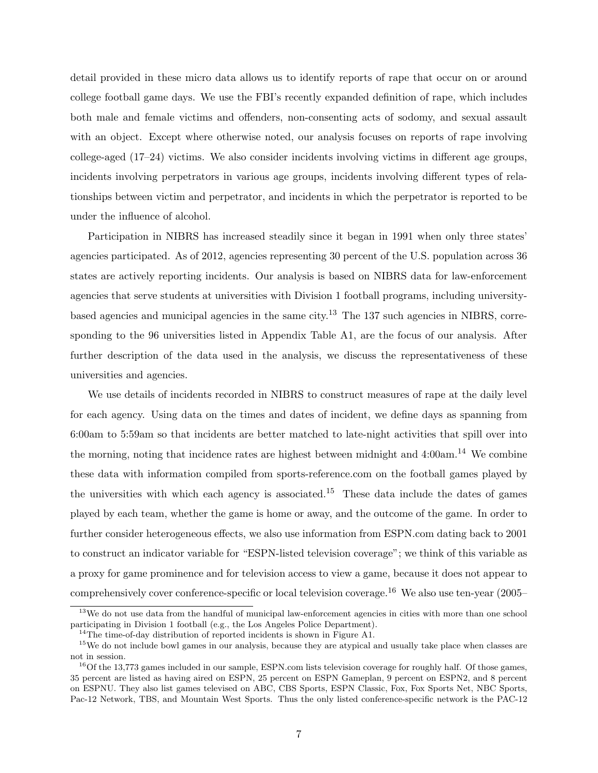detail provided in these micro data allows us to identify reports of rape that occur on or around college football game days. We use the FBI's recently expanded definition of rape, which includes both male and female victims and offenders, non-consenting acts of sodomy, and sexual assault with an object. Except where otherwise noted, our analysis focuses on reports of rape involving college-aged (17–24) victims. We also consider incidents involving victims in different age groups, incidents involving perpetrators in various age groups, incidents involving different types of relationships between victim and perpetrator, and incidents in which the perpetrator is reported to be under the influence of alcohol.

Participation in NIBRS has increased steadily since it began in 1991 when only three states' agencies participated. As of 2012, agencies representing 30 percent of the U.S. population across 36 states are actively reporting incidents. Our analysis is based on NIBRS data for law-enforcement agencies that serve students at universities with Division 1 football programs, including universitybased agencies and municipal agencies in the same city.<sup>13</sup> The 137 such agencies in NIBRS, corresponding to the 96 universities listed in Appendix Table [A1,](#page-39-0) are the focus of our analysis. After further description of the data used in the analysis, we discuss the representativeness of these universities and agencies.

We use details of incidents recorded in NIBRS to construct measures of rape at the daily level for each agency. Using data on the times and dates of incident, we define days as spanning from 6:00am to 5:59am so that incidents are better matched to late-night activities that spill over into the morning, noting that incidence rates are highest between midnight and  $4:00$ am.<sup>14</sup> We combine these data with information compiled from sports-reference.com on the football games played by the universities with which each agency is associated.<sup>15</sup> These data include the dates of games played by each team, whether the game is home or away, and the outcome of the game. In order to further consider heterogeneous effects, we also use information from ESPN.com dating back to 2001 to construct an indicator variable for "ESPN-listed television coverage"; we think of this variable as a proxy for game prominence and for television access to view a game, because it does not appear to comprehensively cover conference-specific or local television coverage.<sup>16</sup> We also use ten-year (2005–

<sup>&</sup>lt;sup>13</sup>We do not use data from the handful of municipal law-enforcement agencies in cities with more than one school participating in Division 1 football (e.g., the Los Angeles Police Department).

 $14$ The time-of-day distribution of reported incidents is shown in Figure [A1.](#page-41-0)

<sup>&</sup>lt;sup>15</sup>We do not include bowl games in our analysis, because they are atypical and usually take place when classes are not in session.

 $16$ Of the 13,773 games included in our sample, ESPN.com lists television coverage for roughly half. Of those games, 35 percent are listed as having aired on ESPN, 25 percent on ESPN Gameplan, 9 percent on ESPN2, and 8 percent on ESPNU. They also list games televised on ABC, CBS Sports, ESPN Classic, Fox, Fox Sports Net, NBC Sports, Pac-12 Network, TBS, and Mountain West Sports. Thus the only listed conference-specific network is the PAC-12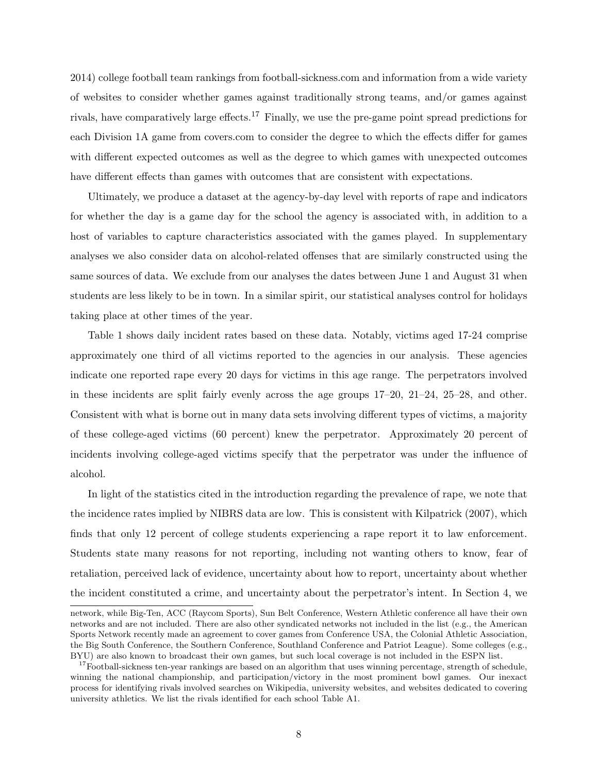2014) college football team rankings from football-sickness.com and information from a wide variety of websites to consider whether games against traditionally strong teams, and/or games against rivals, have comparatively large effects.<sup>17</sup> Finally, we use the pre-game point spread predictions for each Division 1A game from covers.com to consider the degree to which the effects differ for games with different expected outcomes as well as the degree to which games with unexpected outcomes have different effects than games with outcomes that are consistent with expectations.

Ultimately, we produce a dataset at the agency-by-day level with reports of rape and indicators for whether the day is a game day for the school the agency is associated with, in addition to a host of variables to capture characteristics associated with the games played. In supplementary analyses we also consider data on alcohol-related offenses that are similarly constructed using the same sources of data. We exclude from our analyses the dates between June 1 and August 31 when students are less likely to be in town. In a similar spirit, our statistical analyses control for holidays taking place at other times of the year.

Table [1](#page-28-0) shows daily incident rates based on these data. Notably, victims aged 17-24 comprise approximately one third of all victims reported to the agencies in our analysis. These agencies indicate one reported rape every 20 days for victims in this age range. The perpetrators involved in these incidents are split fairly evenly across the age groups 17–20, 21–24, 25–28, and other. Consistent with what is borne out in many data sets involving different types of victims, a majority of these college-aged victims (60 percent) knew the perpetrator. Approximately 20 percent of incidents involving college-aged victims specify that the perpetrator was under the influence of alcohol.

In light of the statistics cited in the introduction regarding the prevalence of rape, we note that the incidence rates implied by NIBRS data are low. This is consistent with Kilpatrick (2007), which finds that only 12 percent of college students experiencing a rape report it to law enforcement. Students state many reasons for not reporting, including not wanting others to know, fear of retaliation, perceived lack of evidence, uncertainty about how to report, uncertainty about whether the incident constituted a crime, and uncertainty about the perpetrator's intent. In Section [4,](#page-11-0) we

network, while Big-Ten, ACC (Raycom Sports), Sun Belt Conference, Western Athletic conference all have their own networks and are not included. There are also other syndicated networks not included in the list (e.g., the American Sports Network recently made an agreement to cover games from Conference USA, the Colonial Athletic Association, the Big South Conference, the Southern Conference, Southland Conference and Patriot League). Some colleges (e.g., BYU) are also known to broadcast their own games, but such local coverage is not included in the ESPN list.

 $17$ Football-sickness ten-year rankings are based on an algorithm that uses winning percentage, strength of schedule, winning the national championship, and participation/victory in the most prominent bowl games. Our inexact process for identifying rivals involved searches on Wikipedia, university websites, and websites dedicated to covering university athletics. We list the rivals identified for each school Table [A1.](#page-39-0)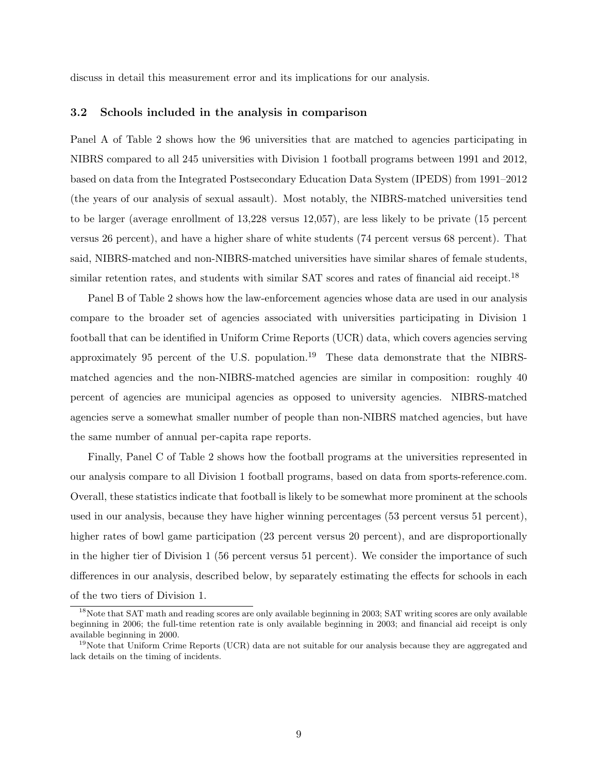discuss in detail this measurement error and its implications for our analysis.

#### 3.2 Schools included in the analysis in comparison

Panel A of Table [2](#page-29-0) shows how the 96 universities that are matched to agencies participating in NIBRS compared to all 245 universities with Division 1 football programs between 1991 and 2012, based on data from the Integrated Postsecondary Education Data System (IPEDS) from 1991–2012 (the years of our analysis of sexual assault). Most notably, the NIBRS-matched universities tend to be larger (average enrollment of 13,228 versus 12,057), are less likely to be private (15 percent versus 26 percent), and have a higher share of white students (74 percent versus 68 percent). That said, NIBRS-matched and non-NIBRS-matched universities have similar shares of female students, similar retention rates, and students with similar SAT scores and rates of financial aid receipt.<sup>18</sup>

Panel B of Table [2](#page-29-0) shows how the law-enforcement agencies whose data are used in our analysis compare to the broader set of agencies associated with universities participating in Division 1 football that can be identified in Uniform Crime Reports (UCR) data, which covers agencies serving approximately 95 percent of the U.S. population.<sup>19</sup> These data demonstrate that the NIBRSmatched agencies and the non-NIBRS-matched agencies are similar in composition: roughly 40 percent of agencies are municipal agencies as opposed to university agencies. NIBRS-matched agencies serve a somewhat smaller number of people than non-NIBRS matched agencies, but have the same number of annual per-capita rape reports.

Finally, Panel C of Table [2](#page-29-0) shows how the football programs at the universities represented in our analysis compare to all Division 1 football programs, based on data from sports-reference.com. Overall, these statistics indicate that football is likely to be somewhat more prominent at the schools used in our analysis, because they have higher winning percentages (53 percent versus 51 percent), higher rates of bowl game participation (23 percent versus 20 percent), and are disproportionally in the higher tier of Division 1 (56 percent versus 51 percent). We consider the importance of such differences in our analysis, described below, by separately estimating the effects for schools in each of the two tiers of Division 1.

<sup>&</sup>lt;sup>18</sup>Note that SAT math and reading scores are only available beginning in 2003; SAT writing scores are only available beginning in 2006; the full-time retention rate is only available beginning in 2003; and financial aid receipt is only available beginning in 2000.

<sup>&</sup>lt;sup>19</sup>Note that Uniform Crime Reports (UCR) data are not suitable for our analysis because they are aggregated and lack details on the timing of incidents.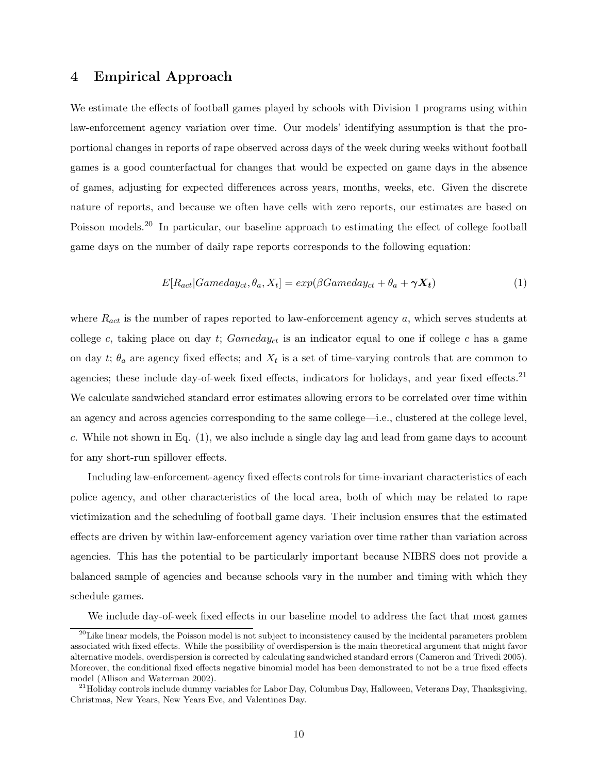### <span id="page-11-0"></span>4 Empirical Approach

We estimate the effects of football games played by schools with Division 1 programs using within law-enforcement agency variation over time. Our models' identifying assumption is that the proportional changes in reports of rape observed across days of the week during weeks without football games is a good counterfactual for changes that would be expected on game days in the absence of games, adjusting for expected differences across years, months, weeks, etc. Given the discrete nature of reports, and because we often have cells with zero reports, our estimates are based on Poisson models.<sup>20</sup> In particular, our baseline approach to estimating the effect of college football game days on the number of daily rape reports corresponds to the following equation:

<span id="page-11-1"></span>
$$
E[R_{act}|Gameday_{ct}, \theta_a, X_t] = exp(\beta Gameday_{ct} + \theta_a + \gamma X_t)
$$
\n(1)

where  $R_{act}$  is the number of rapes reported to law-enforcement agency a, which serves students at college c, taking place on day t;  $Gameday_{ct}$  is an indicator equal to one if college c has a game on day t;  $\theta_a$  are agency fixed effects; and  $X_t$  is a set of time-varying controls that are common to agencies; these include day-of-week fixed effects, indicators for holidays, and year fixed effects.<sup>21</sup> We calculate sandwiched standard error estimates allowing errors to be correlated over time within an agency and across agencies corresponding to the same college—i.e., clustered at the college level, c. While not shown in Eq. [\(1\)](#page-11-1), we also include a single day lag and lead from game days to account for any short-run spillover effects.

Including law-enforcement-agency fixed effects controls for time-invariant characteristics of each police agency, and other characteristics of the local area, both of which may be related to rape victimization and the scheduling of football game days. Their inclusion ensures that the estimated effects are driven by within law-enforcement agency variation over time rather than variation across agencies. This has the potential to be particularly important because NIBRS does not provide a balanced sample of agencies and because schools vary in the number and timing with which they schedule games.

We include day-of-week fixed effects in our baseline model to address the fact that most games

<sup>&</sup>lt;sup>20</sup>Like linear models, the Poisson model is not subject to inconsistency caused by the incidental parameters problem associated with fixed effects. While the possibility of overdispersion is the main theoretical argument that might favor alternative models, overdispersion is corrected by calculating sandwiched standard errors (Cameron and Trivedi 2005). Moreover, the conditional fixed effects negative binomial model has been demonstrated to not be a true fixed effects model (Allison and Waterman 2002).

 $^{21}$ Holiday controls include dummy variables for Labor Day, Columbus Day, Halloween, Veterans Day, Thanksgiving, Christmas, New Years, New Years Eve, and Valentines Day.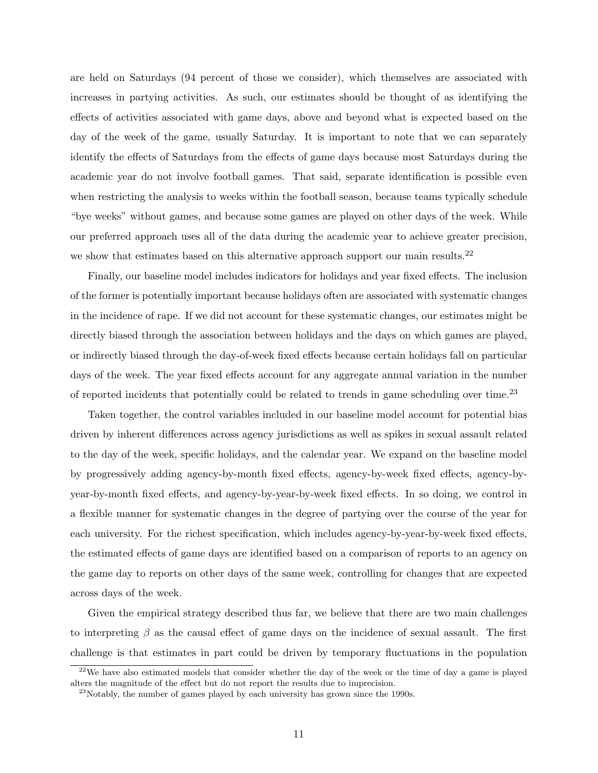are held on Saturdays (94 percent of those we consider), which themselves are associated with increases in partying activities. As such, our estimates should be thought of as identifying the effects of activities associated with game days, above and beyond what is expected based on the day of the week of the game, usually Saturday. It is important to note that we can separately identify the effects of Saturdays from the effects of game days because most Saturdays during the academic year do not involve football games. That said, separate identification is possible even when restricting the analysis to weeks within the football season, because teams typically schedule "bye weeks" without games, and because some games are played on other days of the week. While our preferred approach uses all of the data during the academic year to achieve greater precision, we show that estimates based on this alternative approach support our main results.<sup>22</sup>

Finally, our baseline model includes indicators for holidays and year fixed effects. The inclusion of the former is potentially important because holidays often are associated with systematic changes in the incidence of rape. If we did not account for these systematic changes, our estimates might be directly biased through the association between holidays and the days on which games are played, or indirectly biased through the day-of-week fixed effects because certain holidays fall on particular days of the week. The year fixed effects account for any aggregate annual variation in the number of reported incidents that potentially could be related to trends in game scheduling over time.<sup>23</sup>

Taken together, the control variables included in our baseline model account for potential bias driven by inherent differences across agency jurisdictions as well as spikes in sexual assault related to the day of the week, specific holidays, and the calendar year. We expand on the baseline model by progressively adding agency-by-month fixed effects, agency-by-week fixed effects, agency-byyear-by-month fixed effects, and agency-by-year-by-week fixed effects. In so doing, we control in a flexible manner for systematic changes in the degree of partying over the course of the year for each university. For the richest specification, which includes agency-by-year-by-week fixed effects, the estimated effects of game days are identified based on a comparison of reports to an agency on the game day to reports on other days of the same week, controlling for changes that are expected across days of the week.

Given the empirical strategy described thus far, we believe that there are two main challenges to interpreting  $\beta$  as the causal effect of game days on the incidence of sexual assault. The first challenge is that estimates in part could be driven by temporary fluctuations in the population

<sup>&</sup>lt;sup>22</sup>We have also estimated models that consider whether the day of the week or the time of day a game is played alters the magnitude of the effect but do not report the results due to imprecision.

 $^{23}$ Notably, the number of games played by each university has grown since the 1990s.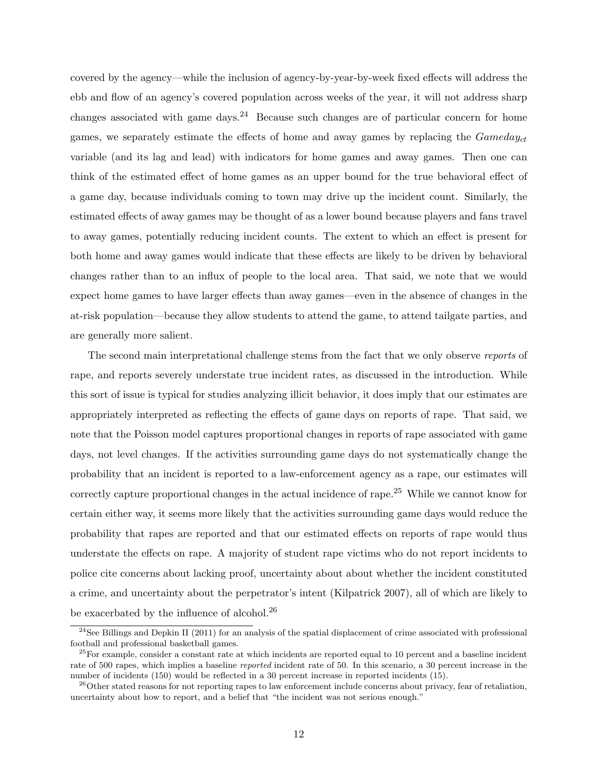covered by the agency—while the inclusion of agency-by-year-by-week fixed effects will address the ebb and flow of an agency's covered population across weeks of the year, it will not address sharp changes associated with game days.<sup>24</sup> Because such changes are of particular concern for home games, we separately estimate the effects of home and away games by replacing the  $Gamedau_{ct}$ variable (and its lag and lead) with indicators for home games and away games. Then one can think of the estimated effect of home games as an upper bound for the true behavioral effect of a game day, because individuals coming to town may drive up the incident count. Similarly, the estimated effects of away games may be thought of as a lower bound because players and fans travel to away games, potentially reducing incident counts. The extent to which an effect is present for both home and away games would indicate that these effects are likely to be driven by behavioral changes rather than to an influx of people to the local area. That said, we note that we would expect home games to have larger effects than away games—even in the absence of changes in the at-risk population—because they allow students to attend the game, to attend tailgate parties, and are generally more salient.

The second main interpretational challenge stems from the fact that we only observe reports of rape, and reports severely understate true incident rates, as discussed in the introduction. While this sort of issue is typical for studies analyzing illicit behavior, it does imply that our estimates are appropriately interpreted as reflecting the effects of game days on reports of rape. That said, we note that the Poisson model captures proportional changes in reports of rape associated with game days, not level changes. If the activities surrounding game days do not systematically change the probability that an incident is reported to a law-enforcement agency as a rape, our estimates will correctly capture proportional changes in the actual incidence of rape.<sup>25</sup> While we cannot know for certain either way, it seems more likely that the activities surrounding game days would reduce the probability that rapes are reported and that our estimated effects on reports of rape would thus understate the effects on rape. A majority of student rape victims who do not report incidents to police cite concerns about lacking proof, uncertainty about about whether the incident constituted a crime, and uncertainty about the perpetrator's intent (Kilpatrick 2007), all of which are likely to be exacerbated by the influence of alcohol.<sup>26</sup>

 $^{24}$ See Billings and Depkin II (2011) for an analysis of the spatial displacement of crime associated with professional football and professional basketball games.

 $25$ For example, consider a constant rate at which incidents are reported equal to 10 percent and a baseline incident rate of 500 rapes, which implies a baseline *reported* incident rate of 50. In this scenario, a 30 percent increase in the number of incidents (150) would be reflected in a 30 percent increase in reported incidents (15).

 $^{26}$ Other stated reasons for not reporting rapes to law enforcement include concerns about privacy, fear of retaliation, uncertainty about how to report, and a belief that "the incident was not serious enough."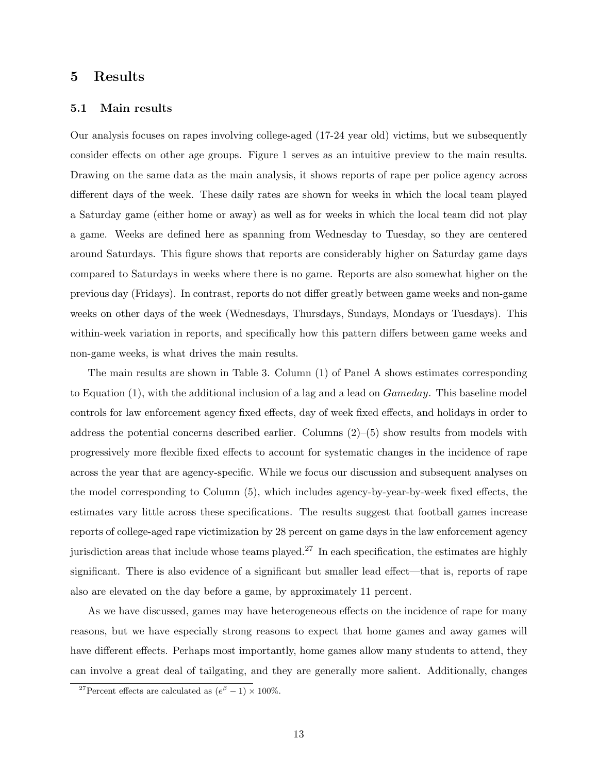#### 5 Results

#### 5.1 Main results

Our analysis focuses on rapes involving college-aged (17-24 year old) victims, but we subsequently consider effects on other age groups. Figure [1](#page-27-0) serves as an intuitive preview to the main results. Drawing on the same data as the main analysis, it shows reports of rape per police agency across different days of the week. These daily rates are shown for weeks in which the local team played a Saturday game (either home or away) as well as for weeks in which the local team did not play a game. Weeks are defined here as spanning from Wednesday to Tuesday, so they are centered around Saturdays. This figure shows that reports are considerably higher on Saturday game days compared to Saturdays in weeks where there is no game. Reports are also somewhat higher on the previous day (Fridays). In contrast, reports do not differ greatly between game weeks and non-game weeks on other days of the week (Wednesdays, Thursdays, Sundays, Mondays or Tuesdays). This within-week variation in reports, and specifically how this pattern differs between game weeks and non-game weeks, is what drives the main results.

The main results are shown in Table [3.](#page-30-0) Column (1) of Panel A shows estimates corresponding to Equation (1), with the additional inclusion of a lag and a lead on Gameday. This baseline model controls for law enforcement agency fixed effects, day of week fixed effects, and holidays in order to address the potential concerns described earlier. Columns  $(2)$ – $(5)$  show results from models with progressively more flexible fixed effects to account for systematic changes in the incidence of rape across the year that are agency-specific. While we focus our discussion and subsequent analyses on the model corresponding to Column (5), which includes agency-by-year-by-week fixed effects, the estimates vary little across these specifications. The results suggest that football games increase reports of college-aged rape victimization by 28 percent on game days in the law enforcement agency jurisdiction areas that include whose teams played.<sup>27</sup> In each specification, the estimates are highly significant. There is also evidence of a significant but smaller lead effect—that is, reports of rape also are elevated on the day before a game, by approximately 11 percent.

As we have discussed, games may have heterogeneous effects on the incidence of rape for many reasons, but we have especially strong reasons to expect that home games and away games will have different effects. Perhaps most importantly, home games allow many students to attend, they can involve a great deal of tailgating, and they are generally more salient. Additionally, changes

<sup>&</sup>lt;sup>27</sup>Percent effects are calculated as  $(e^{\beta} - 1) \times 100\%$ .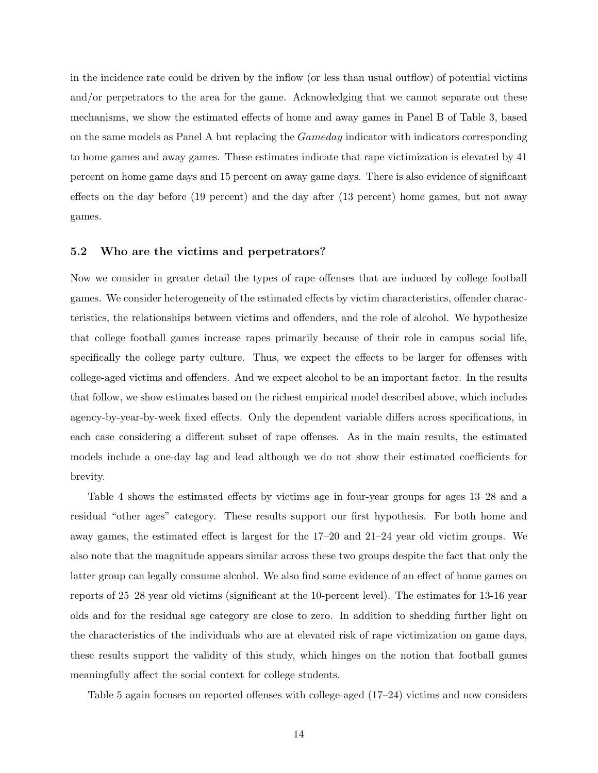in the incidence rate could be driven by the inflow (or less than usual outflow) of potential victims and/or perpetrators to the area for the game. Acknowledging that we cannot separate out these mechanisms, we show the estimated effects of home and away games in Panel B of Table [3,](#page-30-0) based on the same models as Panel A but replacing the *Gameday* indicator with indicators corresponding to home games and away games. These estimates indicate that rape victimization is elevated by 41 percent on home game days and 15 percent on away game days. There is also evidence of significant effects on the day before (19 percent) and the day after (13 percent) home games, but not away games.

#### 5.2 Who are the victims and perpetrators?

Now we consider in greater detail the types of rape offenses that are induced by college football games. We consider heterogeneity of the estimated effects by victim characteristics, offender characteristics, the relationships between victims and offenders, and the role of alcohol. We hypothesize that college football games increase rapes primarily because of their role in campus social life, specifically the college party culture. Thus, we expect the effects to be larger for offenses with college-aged victims and offenders. And we expect alcohol to be an important factor. In the results that follow, we show estimates based on the richest empirical model described above, which includes agency-by-year-by-week fixed effects. Only the dependent variable differs across specifications, in each case considering a different subset of rape offenses. As in the main results, the estimated models include a one-day lag and lead although we do not show their estimated coefficients for brevity.

Table [4](#page-31-0) shows the estimated effects by victims age in four-year groups for ages 13–28 and a residual "other ages" category. These results support our first hypothesis. For both home and away games, the estimated effect is largest for the 17–20 and 21–24 year old victim groups. We also note that the magnitude appears similar across these two groups despite the fact that only the latter group can legally consume alcohol. We also find some evidence of an effect of home games on reports of 25–28 year old victims (significant at the 10-percent level). The estimates for 13-16 year olds and for the residual age category are close to zero. In addition to shedding further light on the characteristics of the individuals who are at elevated risk of rape victimization on game days, these results support the validity of this study, which hinges on the notion that football games meaningfully affect the social context for college students.

Table [5](#page-32-0) again focuses on reported offenses with college-aged (17–24) victims and now considers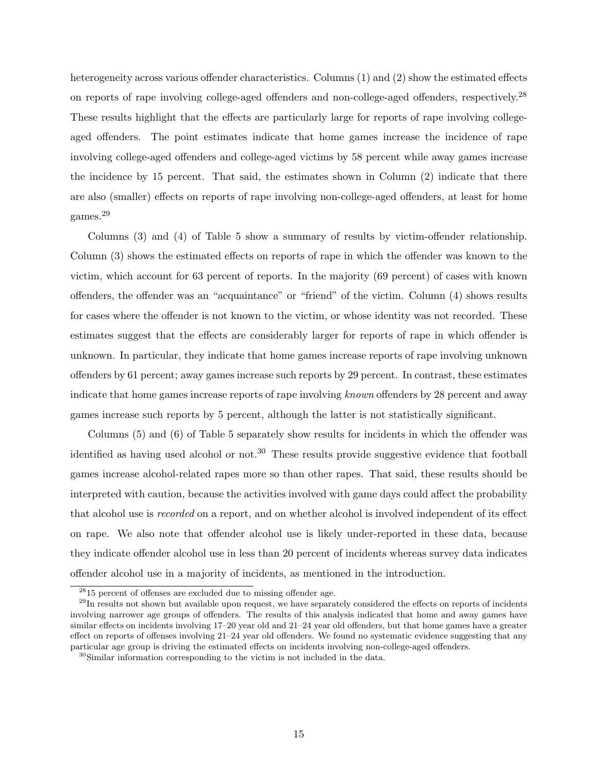heterogeneity across various offender characteristics. Columns (1) and (2) show the estimated effects on reports of rape involving college-aged offenders and non-college-aged offenders, respectively.<sup>28</sup> These results highlight that the effects are particularly large for reports of rape involving collegeaged offenders. The point estimates indicate that home games increase the incidence of rape involving college-aged offenders and college-aged victims by 58 percent while away games increase the incidence by 15 percent. That said, the estimates shown in Column (2) indicate that there are also (smaller) effects on reports of rape involving non-college-aged offenders, at least for home games.<sup>29</sup>

Columns (3) and (4) of Table [5](#page-32-0) show a summary of results by victim-offender relationship. Column (3) shows the estimated effects on reports of rape in which the offender was known to the victim, which account for 63 percent of reports. In the majority (69 percent) of cases with known offenders, the offender was an "acquaintance" or "friend" of the victim. Column (4) shows results for cases where the offender is not known to the victim, or whose identity was not recorded. These estimates suggest that the effects are considerably larger for reports of rape in which offender is unknown. In particular, they indicate that home games increase reports of rape involving unknown offenders by 61 percent; away games increase such reports by 29 percent. In contrast, these estimates indicate that home games increase reports of rape involving known offenders by 28 percent and away games increase such reports by 5 percent, although the latter is not statistically significant.

Columns (5) and (6) of Table [5](#page-32-0) separately show results for incidents in which the offender was identified as having used alcohol or not.<sup>30</sup> These results provide suggestive evidence that football games increase alcohol-related rapes more so than other rapes. That said, these results should be interpreted with caution, because the activities involved with game days could affect the probability that alcohol use is recorded on a report, and on whether alcohol is involved independent of its effect on rape. We also note that offender alcohol use is likely under-reported in these data, because they indicate offender alcohol use in less than 20 percent of incidents whereas survey data indicates offender alcohol use in a majority of incidents, as mentioned in the introduction.

<sup>28</sup>15 percent of offenses are excluded due to missing offender age.

 $^{29}$ In results not shown but available upon request, we have separately considered the effects on reports of incidents involving narrower age groups of offenders. The results of this analysis indicated that home and away games have similar effects on incidents involving 17–20 year old and 21–24 year old offenders, but that home games have a greater effect on reports of offenses involving 21–24 year old offenders. We found no systematic evidence suggesting that any particular age group is driving the estimated effects on incidents involving non-college-aged offenders.

<sup>30</sup>Similar information corresponding to the victim is not included in the data.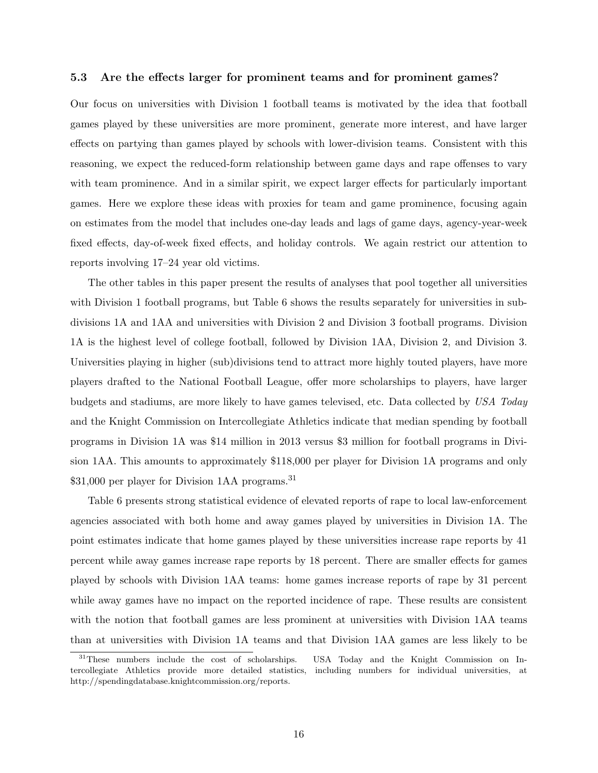#### 5.3 Are the effects larger for prominent teams and for prominent games?

Our focus on universities with Division 1 football teams is motivated by the idea that football games played by these universities are more prominent, generate more interest, and have larger effects on partying than games played by schools with lower-division teams. Consistent with this reasoning, we expect the reduced-form relationship between game days and rape offenses to vary with team prominence. And in a similar spirit, we expect larger effects for particularly important games. Here we explore these ideas with proxies for team and game prominence, focusing again on estimates from the model that includes one-day leads and lags of game days, agency-year-week fixed effects, day-of-week fixed effects, and holiday controls. We again restrict our attention to reports involving 17–24 year old victims.

The other tables in this paper present the results of analyses that pool together all universities with Division 1 football programs, but Table [6](#page-33-0) shows the results separately for universities in subdivisions 1A and 1AA and universities with Division 2 and Division 3 football programs. Division 1A is the highest level of college football, followed by Division 1AA, Division 2, and Division 3. Universities playing in higher (sub)divisions tend to attract more highly touted players, have more players drafted to the National Football League, offer more scholarships to players, have larger budgets and stadiums, are more likely to have games televised, etc. Data collected by USA Today and the Knight Commission on Intercollegiate Athletics indicate that median spending by football programs in Division 1A was \$14 million in 2013 versus \$3 million for football programs in Division 1AA. This amounts to approximately \$118,000 per player for Division 1A programs and only  $\$31,000$  per player for Division 1AA programs.<sup>31</sup>

Table [6](#page-33-0) presents strong statistical evidence of elevated reports of rape to local law-enforcement agencies associated with both home and away games played by universities in Division 1A. The point estimates indicate that home games played by these universities increase rape reports by 41 percent while away games increase rape reports by 18 percent. There are smaller effects for games played by schools with Division 1AA teams: home games increase reports of rape by 31 percent while away games have no impact on the reported incidence of rape. These results are consistent with the notion that football games are less prominent at universities with Division 1AA teams than at universities with Division 1A teams and that Division 1AA games are less likely to be

<sup>&</sup>lt;sup>31</sup>These numbers include the cost of scholarships. USA Today and the Knight Commission on Intercollegiate Athletics provide more detailed statistics, including numbers for individual universities, at http://spendingdatabase.knightcommission.org/reports.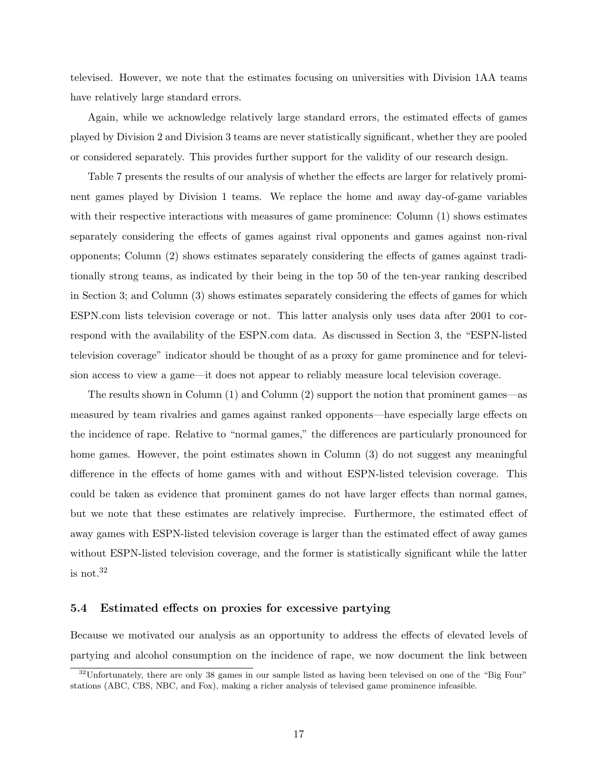televised. However, we note that the estimates focusing on universities with Division 1AA teams have relatively large standard errors.

Again, while we acknowledge relatively large standard errors, the estimated effects of games played by Division 2 and Division 3 teams are never statistically significant, whether they are pooled or considered separately. This provides further support for the validity of our research design.

Table [7](#page-34-0) presents the results of our analysis of whether the effects are larger for relatively prominent games played by Division 1 teams. We replace the home and away day-of-game variables with their respective interactions with measures of game prominence: Column (1) shows estimates separately considering the effects of games against rival opponents and games against non-rival opponents; Column (2) shows estimates separately considering the effects of games against traditionally strong teams, as indicated by their being in the top 50 of the ten-year ranking described in Section [3;](#page-7-0) and Column (3) shows estimates separately considering the effects of games for which ESPN.com lists television coverage or not. This latter analysis only uses data after 2001 to correspond with the availability of the ESPN.com data. As discussed in Section [3,](#page-7-0) the "ESPN-listed television coverage" indicator should be thought of as a proxy for game prominence and for television access to view a game—it does not appear to reliably measure local television coverage.

The results shown in Column (1) and Column (2) support the notion that prominent games—as measured by team rivalries and games against ranked opponents—have especially large effects on the incidence of rape. Relative to "normal games," the differences are particularly pronounced for home games. However, the point estimates shown in Column (3) do not suggest any meaningful difference in the effects of home games with and without ESPN-listed television coverage. This could be taken as evidence that prominent games do not have larger effects than normal games, but we note that these estimates are relatively imprecise. Furthermore, the estimated effect of away games with ESPN-listed television coverage is larger than the estimated effect of away games without ESPN-listed television coverage, and the former is statistically significant while the latter is not.<sup>32</sup>

#### 5.4 Estimated effects on proxies for excessive partying

Because we motivated our analysis as an opportunity to address the effects of elevated levels of partying and alcohol consumption on the incidence of rape, we now document the link between

<sup>&</sup>lt;sup>32</sup>Unfortunately, there are only 38 games in our sample listed as having been televised on one of the "Big Four" stations (ABC, CBS, NBC, and Fox), making a richer analysis of televised game prominence infeasible.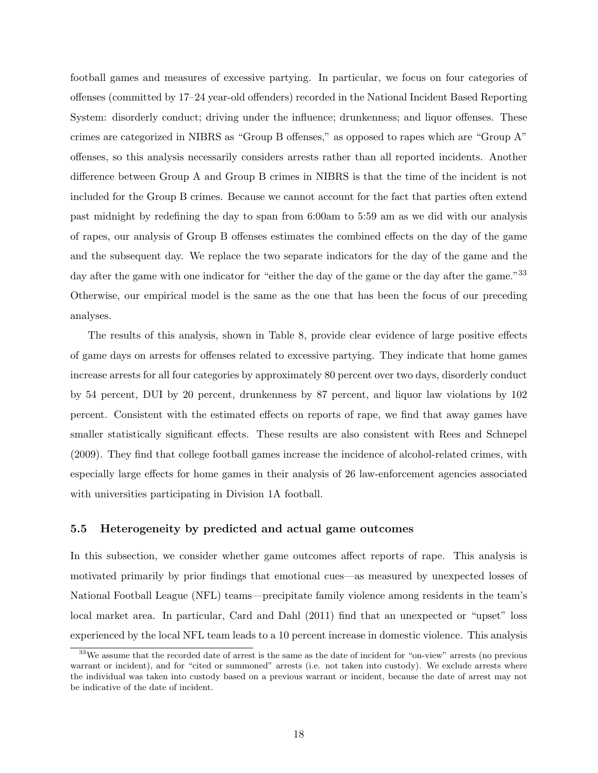football games and measures of excessive partying. In particular, we focus on four categories of offenses (committed by 17–24 year-old offenders) recorded in the National Incident Based Reporting System: disorderly conduct; driving under the influence; drunkenness; and liquor offenses. These crimes are categorized in NIBRS as "Group B offenses," as opposed to rapes which are "Group A" offenses, so this analysis necessarily considers arrests rather than all reported incidents. Another difference between Group A and Group B crimes in NIBRS is that the time of the incident is not included for the Group B crimes. Because we cannot account for the fact that parties often extend past midnight by redefining the day to span from 6:00am to 5:59 am as we did with our analysis of rapes, our analysis of Group B offenses estimates the combined effects on the day of the game and the subsequent day. We replace the two separate indicators for the day of the game and the day after the game with one indicator for "either the day of the game or the day after the game."<sup>33</sup> Otherwise, our empirical model is the same as the one that has been the focus of our preceding analyses.

The results of this analysis, shown in Table [8,](#page-35-0) provide clear evidence of large positive effects of game days on arrests for offenses related to excessive partying. They indicate that home games increase arrests for all four categories by approximately 80 percent over two days, disorderly conduct by 54 percent, DUI by 20 percent, drunkenness by 87 percent, and liquor law violations by 102 percent. Consistent with the estimated effects on reports of rape, we find that away games have smaller statistically significant effects. These results are also consistent with Rees and Schnepel (2009). They find that college football games increase the incidence of alcohol-related crimes, with especially large effects for home games in their analysis of 26 law-enforcement agencies associated with universities participating in Division 1A football.

#### 5.5 Heterogeneity by predicted and actual game outcomes

In this subsection, we consider whether game outcomes affect reports of rape. This analysis is motivated primarily by prior findings that emotional cues—as measured by unexpected losses of National Football League (NFL) teams—precipitate family violence among residents in the team's local market area. In particular, Card and Dahl (2011) find that an unexpected or "upset" loss experienced by the local NFL team leads to a 10 percent increase in domestic violence. This analysis

<sup>&</sup>lt;sup>33</sup>We assume that the recorded date of arrest is the same as the date of incident for "on-view" arrests (no previous warrant or incident), and for "cited or summoned" arrests (i.e. not taken into custody). We exclude arrests where the individual was taken into custody based on a previous warrant or incident, because the date of arrest may not be indicative of the date of incident.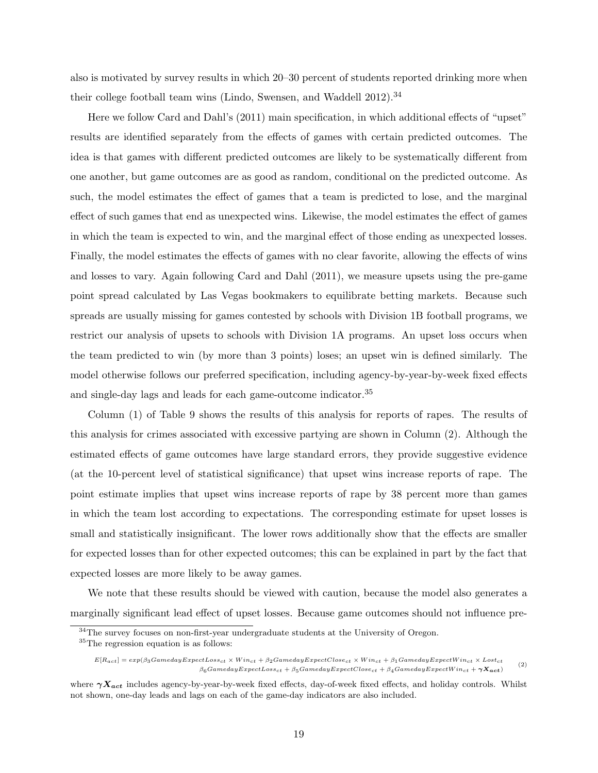also is motivated by survey results in which 20–30 percent of students reported drinking more when their college football team wins (Lindo, Swensen, and Waddell 2012).<sup>34</sup>

Here we follow Card and Dahl's (2011) main specification, in which additional effects of "upset" results are identified separately from the effects of games with certain predicted outcomes. The idea is that games with different predicted outcomes are likely to be systematically different from one another, but game outcomes are as good as random, conditional on the predicted outcome. As such, the model estimates the effect of games that a team is predicted to lose, and the marginal effect of such games that end as unexpected wins. Likewise, the model estimates the effect of games in which the team is expected to win, and the marginal effect of those ending as unexpected losses. Finally, the model estimates the effects of games with no clear favorite, allowing the effects of wins and losses to vary. Again following Card and Dahl (2011), we measure upsets using the pre-game point spread calculated by Las Vegas bookmakers to equilibrate betting markets. Because such spreads are usually missing for games contested by schools with Division 1B football programs, we restrict our analysis of upsets to schools with Division 1A programs. An upset loss occurs when the team predicted to win (by more than 3 points) loses; an upset win is defined similarly. The model otherwise follows our preferred specification, including agency-by-year-by-week fixed effects and single-day lags and leads for each game-outcome indicator.<sup>35</sup>

Column (1) of Table [9](#page-36-0) shows the results of this analysis for reports of rapes. The results of this analysis for crimes associated with excessive partying are shown in Column (2). Although the estimated effects of game outcomes have large standard errors, they provide suggestive evidence (at the 10-percent level of statistical significance) that upset wins increase reports of rape. The point estimate implies that upset wins increase reports of rape by 38 percent more than games in which the team lost according to expectations. The corresponding estimate for upset losses is small and statistically insignificant. The lower rows additionally show that the effects are smaller for expected losses than for other expected outcomes; this can be explained in part by the fact that expected losses are more likely to be away games.

We note that these results should be viewed with caution, because the model also generates a marginally significant lead effect of upset losses. Because game outcomes should not influence pre-

 $^{34}\mathrm{The}$  survey focuses on non-first-year undergraduate students at the University of Oregon.

<sup>35</sup>The regression equation is as follows:

 $E[R_{act}] = exp(\beta_3 GamedayExpectLoss_{ct} \times Win_{ct} + \beta_2GamedayExpectLoss_{ct} \times Win_{ct} + \beta_1 GamedayExpectWin_{ct} \times Lost_{ct}$  $\beta_6GamedayExpectedLoss_{ct} + \beta_5GamedayExpectedClose_{ct} + \beta_4GamedayExpectedWriteW)$ (2)

where  $\gamma X_{act}$  includes agency-by-year-by-week fixed effects, day-of-week fixed effects, and holiday controls. Whilst not shown, one-day leads and lags on each of the game-day indicators are also included.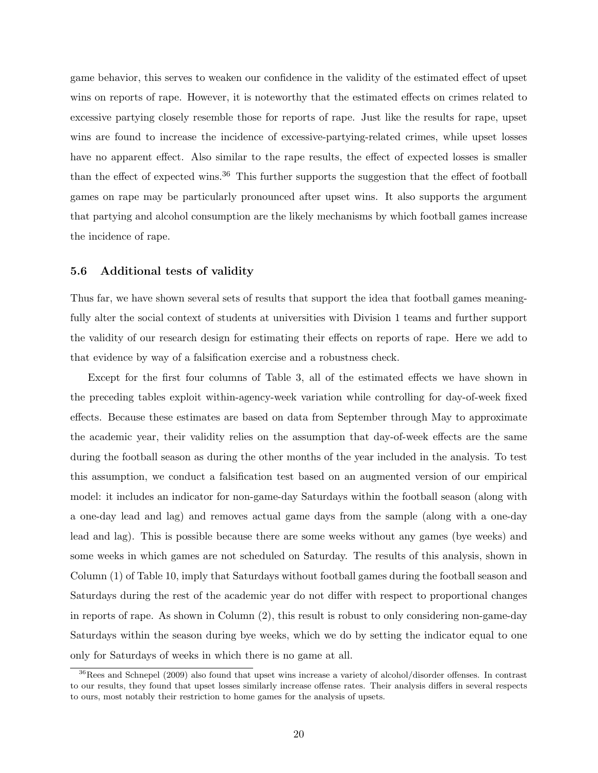game behavior, this serves to weaken our confidence in the validity of the estimated effect of upset wins on reports of rape. However, it is noteworthy that the estimated effects on crimes related to excessive partying closely resemble those for reports of rape. Just like the results for rape, upset wins are found to increase the incidence of excessive-partying-related crimes, while upset losses have no apparent effect. Also similar to the rape results, the effect of expected losses is smaller than the effect of expected wins.<sup>36</sup> This further supports the suggestion that the effect of football games on rape may be particularly pronounced after upset wins. It also supports the argument that partying and alcohol consumption are the likely mechanisms by which football games increase the incidence of rape.

#### 5.6 Additional tests of validity

Thus far, we have shown several sets of results that support the idea that football games meaningfully alter the social context of students at universities with Division 1 teams and further support the validity of our research design for estimating their effects on reports of rape. Here we add to that evidence by way of a falsification exercise and a robustness check.

Except for the first four columns of Table [3,](#page-30-0) all of the estimated effects we have shown in the preceding tables exploit within-agency-week variation while controlling for day-of-week fixed effects. Because these estimates are based on data from September through May to approximate the academic year, their validity relies on the assumption that day-of-week effects are the same during the football season as during the other months of the year included in the analysis. To test this assumption, we conduct a falsification test based on an augmented version of our empirical model: it includes an indicator for non-game-day Saturdays within the football season (along with a one-day lead and lag) and removes actual game days from the sample (along with a one-day lead and lag). This is possible because there are some weeks without any games (bye weeks) and some weeks in which games are not scheduled on Saturday. The results of this analysis, shown in Column (1) of Table [10,](#page-37-0) imply that Saturdays without football games during the football season and Saturdays during the rest of the academic year do not differ with respect to proportional changes in reports of rape. As shown in Column (2), this result is robust to only considering non-game-day Saturdays within the season during bye weeks, which we do by setting the indicator equal to one only for Saturdays of weeks in which there is no game at all.

 $36$ Rees and Schnepel (2009) also found that upset wins increase a variety of alcohol/disorder offenses. In contrast to our results, they found that upset losses similarly increase offense rates. Their analysis differs in several respects to ours, most notably their restriction to home games for the analysis of upsets.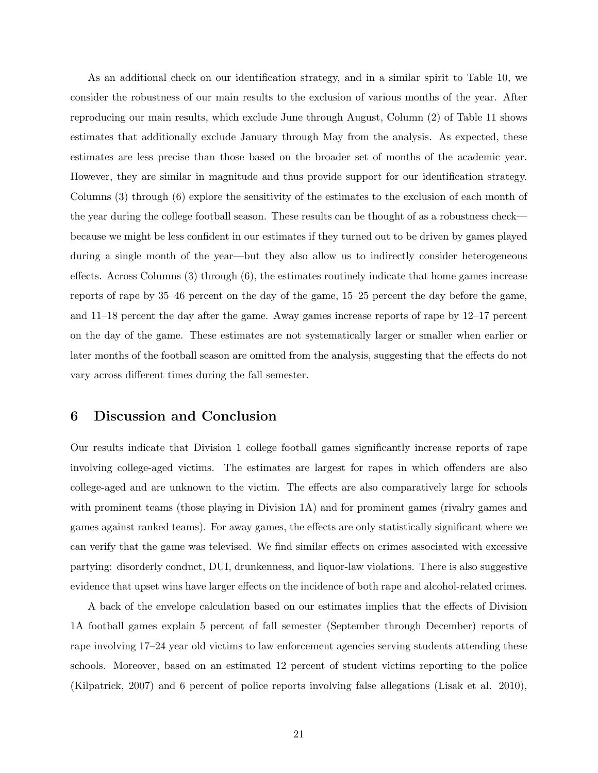As an additional check on our identification strategy, and in a similar spirit to Table [10,](#page-37-0) we consider the robustness of our main results to the exclusion of various months of the year. After reproducing our main results, which exclude June through August, Column (2) of Table [11](#page-38-0) shows estimates that additionally exclude January through May from the analysis. As expected, these estimates are less precise than those based on the broader set of months of the academic year. However, they are similar in magnitude and thus provide support for our identification strategy. Columns (3) through (6) explore the sensitivity of the estimates to the exclusion of each month of the year during the college football season. These results can be thought of as a robustness check because we might be less confident in our estimates if they turned out to be driven by games played during a single month of the year—but they also allow us to indirectly consider heterogeneous effects. Across Columns (3) through (6), the estimates routinely indicate that home games increase reports of rape by 35–46 percent on the day of the game, 15–25 percent the day before the game, and 11–18 percent the day after the game. Away games increase reports of rape by 12–17 percent on the day of the game. These estimates are not systematically larger or smaller when earlier or later months of the football season are omitted from the analysis, suggesting that the effects do not vary across different times during the fall semester.

#### 6 Discussion and Conclusion

Our results indicate that Division 1 college football games significantly increase reports of rape involving college-aged victims. The estimates are largest for rapes in which offenders are also college-aged and are unknown to the victim. The effects are also comparatively large for schools with prominent teams (those playing in Division 1A) and for prominent games (rivalry games and games against ranked teams). For away games, the effects are only statistically significant where we can verify that the game was televised. We find similar effects on crimes associated with excessive partying: disorderly conduct, DUI, drunkenness, and liquor-law violations. There is also suggestive evidence that upset wins have larger effects on the incidence of both rape and alcohol-related crimes.

A back of the envelope calculation based on our estimates implies that the effects of Division 1A football games explain 5 percent of fall semester (September through December) reports of rape involving 17–24 year old victims to law enforcement agencies serving students attending these schools. Moreover, based on an estimated 12 percent of student victims reporting to the police (Kilpatrick, 2007) and 6 percent of police reports involving false allegations (Lisak et al. 2010),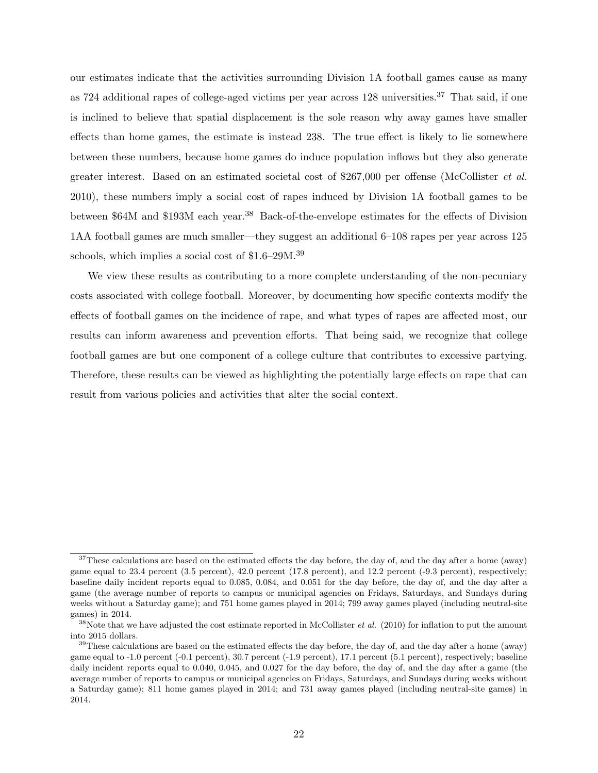our estimates indicate that the activities surrounding Division 1A football games cause as many as 724 additional rapes of college-aged victims per year across 128 universities.<sup>37</sup> That said, if one is inclined to believe that spatial displacement is the sole reason why away games have smaller effects than home games, the estimate is instead 238. The true effect is likely to lie somewhere between these numbers, because home games do induce population inflows but they also generate greater interest. Based on an estimated societal cost of \$267,000 per offense (McCollister *et al.*) 2010), these numbers imply a social cost of rapes induced by Division 1A football games to be between \$64M and \$193M each year.<sup>38</sup> Back-of-the-envelope estimates for the effects of Division 1AA football games are much smaller—they suggest an additional 6–108 rapes per year across 125 schools, which implies a social cost of \$1.6–29M.<sup>39</sup>

We view these results as contributing to a more complete understanding of the non-pecuniary costs associated with college football. Moreover, by documenting how specific contexts modify the effects of football games on the incidence of rape, and what types of rapes are affected most, our results can inform awareness and prevention efforts. That being said, we recognize that college football games are but one component of a college culture that contributes to excessive partying. Therefore, these results can be viewed as highlighting the potentially large effects on rape that can result from various policies and activities that alter the social context.

 $37$ These calculations are based on the estimated effects the day before, the day of, and the day after a home (away) game equal to 23.4 percent (3.5 percent), 42.0 percent (17.8 percent), and 12.2 percent (-9.3 percent), respectively; baseline daily incident reports equal to 0.085, 0.084, and 0.051 for the day before, the day of, and the day after a game (the average number of reports to campus or municipal agencies on Fridays, Saturdays, and Sundays during weeks without a Saturday game); and 751 home games played in 2014; 799 away games played (including neutral-site games) in 2014.

 $38$ Note that we have adjusted the cost estimate reported in McCollister *et al.* (2010) for inflation to put the amount into 2015 dollars.

<sup>&</sup>lt;sup>39</sup>These calculations are based on the estimated effects the day before, the day of, and the day after a home (away) game equal to -1.0 percent (-0.1 percent), 30.7 percent (-1.9 percent), 17.1 percent (5.1 percent), respectively; baseline daily incident reports equal to 0.040, 0.045, and 0.027 for the day before, the day of, and the day after a game (the average number of reports to campus or municipal agencies on Fridays, Saturdays, and Sundays during weeks without a Saturday game); 811 home games played in 2014; and 731 away games played (including neutral-site games) in 2014.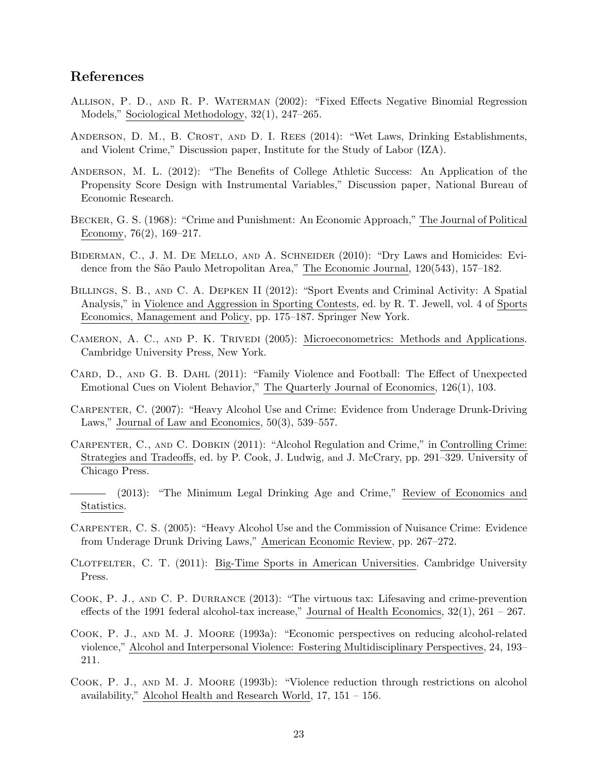## References

- Allison, P. D., and R. P. Waterman (2002): "Fixed Effects Negative Binomial Regression Models," Sociological Methodology, 32(1), 247–265.
- Anderson, D. M., B. Crost, and D. I. Rees (2014): "Wet Laws, Drinking Establishments, and Violent Crime," Discussion paper, Institute for the Study of Labor (IZA).
- Anderson, M. L. (2012): "The Benefits of College Athletic Success: An Application of the Propensity Score Design with Instrumental Variables," Discussion paper, National Bureau of Economic Research.
- Becker, G. S. (1968): "Crime and Punishment: An Economic Approach," The Journal of Political Economy, 76(2), 169–217.
- Biderman, C., J. M. De Mello, and A. Schneider (2010): "Dry Laws and Homicides: Evidence from the S˜ao Paulo Metropolitan Area," The Economic Journal, 120(543), 157–182.
- Billings, S. B., and C. A. Depken II (2012): "Sport Events and Criminal Activity: A Spatial Analysis," in Violence and Aggression in Sporting Contests, ed. by R. T. Jewell, vol. 4 of Sports Economics, Management and Policy, pp. 175–187. Springer New York.
- Cameron, A. C., and P. K. Trivedi (2005): Microeconometrics: Methods and Applications. Cambridge University Press, New York.
- CARD, D., AND G. B. DAHL (2011): "Family Violence and Football: The Effect of Unexpected Emotional Cues on Violent Behavior," The Quarterly Journal of Economics, 126(1), 103.
- Carpenter, C. (2007): "Heavy Alcohol Use and Crime: Evidence from Underage Drunk-Driving Laws," Journal of Law and Economics, 50(3), 539–557.
- Carpenter, C., and C. Dobkin (2011): "Alcohol Regulation and Crime," in Controlling Crime: Strategies and Tradeoffs, ed. by P. Cook, J. Ludwig, and J. McCrary, pp. 291–329. University of Chicago Press.
- (2013): "The Minimum Legal Drinking Age and Crime," Review of Economics and Statistics.
- Carpenter, C. S. (2005): "Heavy Alcohol Use and the Commission of Nuisance Crime: Evidence from Underage Drunk Driving Laws," American Economic Review, pp. 267–272.
- Clotfelter, C. T. (2011): Big-Time Sports in American Universities. Cambridge University Press.
- Cook, P. J., and C. P. Durrance (2013): "The virtuous tax: Lifesaving and crime-prevention effects of the 1991 federal alcohol-tax increase," Journal of Health Economics,  $32(1)$ ,  $261 - 267$ .
- Cook, P. J., and M. J. Moore (1993a): "Economic perspectives on reducing alcohol-related violence," Alcohol and Interpersonal Violence: Fostering Multidisciplinary Perspectives, 24, 193– 211.
- Cook, P. J., and M. J. Moore (1993b): "Violence reduction through restrictions on alcohol availability," Alcohol Health and Research World, 17, 151 – 156.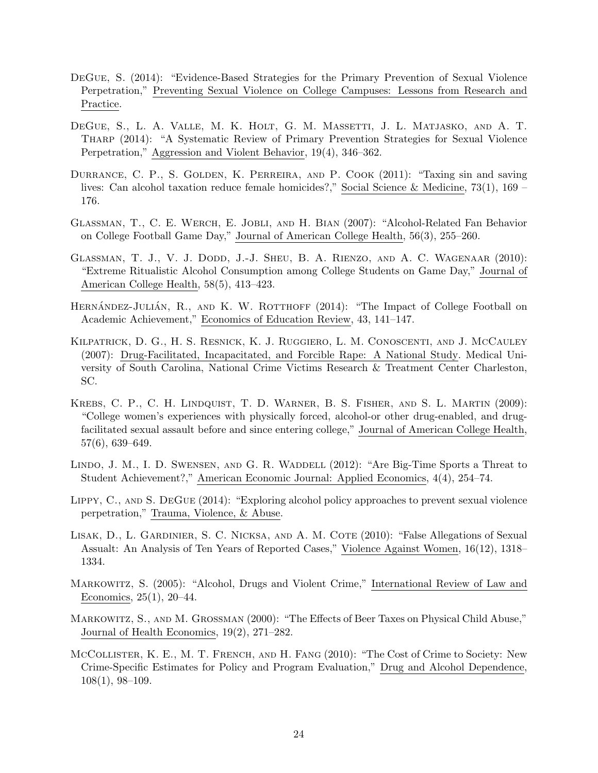- DeGue, S. (2014): "Evidence-Based Strategies for the Primary Prevention of Sexual Violence Perpetration," Preventing Sexual Violence on College Campuses: Lessons from Research and Practice.
- DeGue, S., L. A. Valle, M. K. Holt, G. M. Massetti, J. L. Matjasko, and A. T. Tharp (2014): "A Systematic Review of Primary Prevention Strategies for Sexual Violence Perpetration," Aggression and Violent Behavior, 19(4), 346–362.
- DURRANCE, C. P., S. GOLDEN, K. PERREIRA, AND P. COOK (2011): "Taxing sin and saving lives: Can alcohol taxation reduce female homicides?," Social Science & Medicine, 73(1), 169 – 176.
- Glassman, T., C. E. Werch, E. Jobli, and H. Bian (2007): "Alcohol-Related Fan Behavior on College Football Game Day," Journal of American College Health, 56(3), 255–260.
- GLASSMAN, T. J., V. J. DODD, J.-J. SHEU, B. A. RIENZO, AND A. C. WAGENAAR (2010): "Extreme Ritualistic Alcohol Consumption among College Students on Game Day," Journal of American College Health, 58(5), 413–423.
- HERNANDEZ-JULIAN,  $R_{\cdot}$ , and K. W. ROTTHOFF (2014): "The Impact of College Football on Academic Achievement," Economics of Education Review, 43, 141–147.
- Kilpatrick, D. G., H. S. Resnick, K. J. Ruggiero, L. M. Conoscenti, and J. McCauley (2007): Drug-Facilitated, Incapacitated, and Forcible Rape: A National Study. Medical University of South Carolina, National Crime Victims Research & Treatment Center Charleston, SC.
- Krebs, C. P., C. H. Lindquist, T. D. Warner, B. S. Fisher, and S. L. Martin (2009): "College women's experiences with physically forced, alcohol-or other drug-enabled, and drugfacilitated sexual assault before and since entering college," Journal of American College Health, 57(6), 639–649.
- LINDO, J. M., I. D. SWENSEN, AND G. R. WADDELL (2012): "Are Big-Time Sports a Threat to Student Achievement?," American Economic Journal: Applied Economics, 4(4), 254–74.
- Lippy, C., and S. DeGue (2014): "Exploring alcohol policy approaches to prevent sexual violence perpetration," Trauma, Violence, & Abuse.
- LISAK, D., L. GARDINIER, S. C. NICKSA, AND A. M. COTE (2010): "False Allegations of Sexual Assualt: An Analysis of Ten Years of Reported Cases," Violence Against Women, 16(12), 1318– 1334.
- Markowitz, S. (2005): "Alcohol, Drugs and Violent Crime," International Review of Law and Economics, 25(1), 20–44.
- Markowitz, S., and M. Grossman (2000): "The Effects of Beer Taxes on Physical Child Abuse," Journal of Health Economics, 19(2), 271–282.
- McCollister, K. E., M. T. French, and H. Fang (2010): "The Cost of Crime to Society: New Crime-Specific Estimates for Policy and Program Evaluation," Drug and Alcohol Dependence, 108(1), 98–109.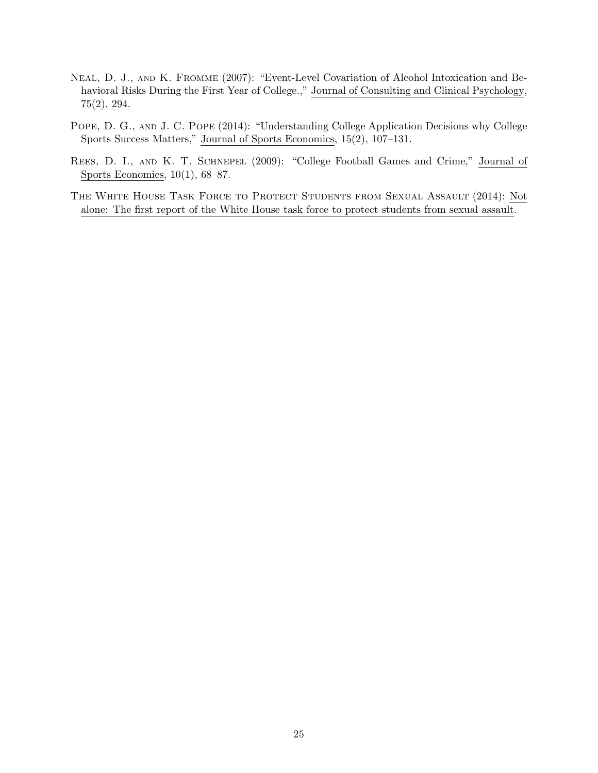- Neal, D. J., and K. Fromme (2007): "Event-Level Covariation of Alcohol Intoxication and Behavioral Risks During the First Year of College.," Journal of Consulting and Clinical Psychology, 75(2), 294.
- POPE, D. G., AND J. C. POPE (2014): "Understanding College Application Decisions why College Sports Success Matters," Journal of Sports Economics, 15(2), 107–131.
- REES, D. I., AND K. T. SCHNEPEL (2009): "College Football Games and Crime," Journal of Sports Economics, 10(1), 68–87.
- The White House Task Force to Protect Students from Sexual Assault (2014): Not alone: The first report of the White House task force to protect students from sexual assault.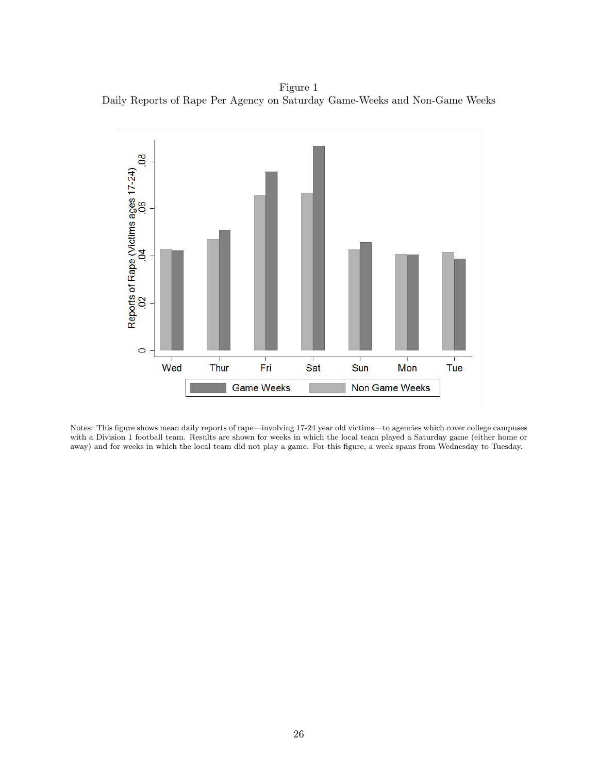<span id="page-27-0"></span>Figure 1 Daily Reports of Rape Per Agency on Saturday Game-Weeks and Non-Game Weeks



Notes: This figure shows mean daily reports of rape—involving 17-24 year old victims—to agencies which cover college campuses with a Division 1 football team. Results are shown for weeks in which the local team played a Saturday game (either home or away) and for weeks in which the local team did not play a game. For this figure, a week spans from Wednesday to Tuesday.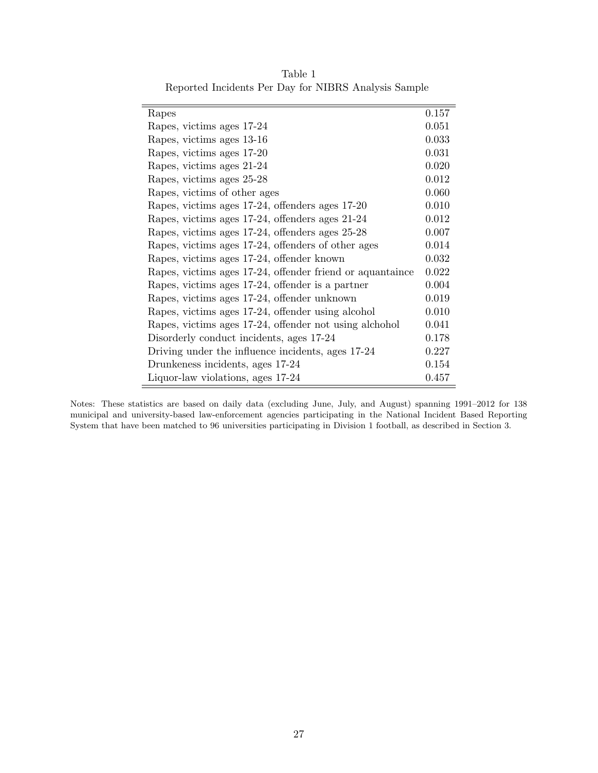<span id="page-28-0"></span>

| Rapes                                                     | 0.157 |
|-----------------------------------------------------------|-------|
| Rapes, victims ages 17-24                                 | 0.051 |
| Rapes, victims ages 13-16                                 | 0.033 |
| Rapes, victims ages 17-20                                 | 0.031 |
| Rapes, victims ages 21-24                                 | 0.020 |
| Rapes, victims ages 25-28                                 | 0.012 |
| Rapes, victims of other ages                              | 0.060 |
| Rapes, victims ages 17-24, offenders ages 17-20           | 0.010 |
| Rapes, victims ages 17-24, offenders ages 21-24           | 0.012 |
| Rapes, victims ages 17-24, offenders ages 25-28           | 0.007 |
| Rapes, victims ages 17-24, offenders of other ages        | 0.014 |
| Rapes, victims ages 17-24, offender known                 | 0.032 |
| Rapes, victims ages 17-24, offender friend or aquantaince | 0.022 |
| Rapes, victims ages 17-24, offender is a partner          | 0.004 |
| Rapes, victims ages 17-24, offender unknown               | 0.019 |
| Rapes, victims ages 17-24, offender using alcohol         | 0.010 |
| Rapes, victims ages 17-24, offender not using alchohol    | 0.041 |
| Disorderly conduct incidents, ages 17-24                  | 0.178 |
| Driving under the influence incidents, ages 17-24         | 0.227 |
| Drunkeness incidents, ages 17-24                          | 0.154 |
| Liquor-law violations, ages 17-24                         | 0.457 |

Table 1 Reported Incidents Per Day for NIBRS Analysis Sample

Notes: These statistics are based on daily data (excluding June, July, and August) spanning 1991–2012 for 138 municipal and university-based law-enforcement agencies participating in the National Incident Based Reporting System that have been matched to 96 universities participating in Division 1 football, as described in Section [3.](#page-7-0)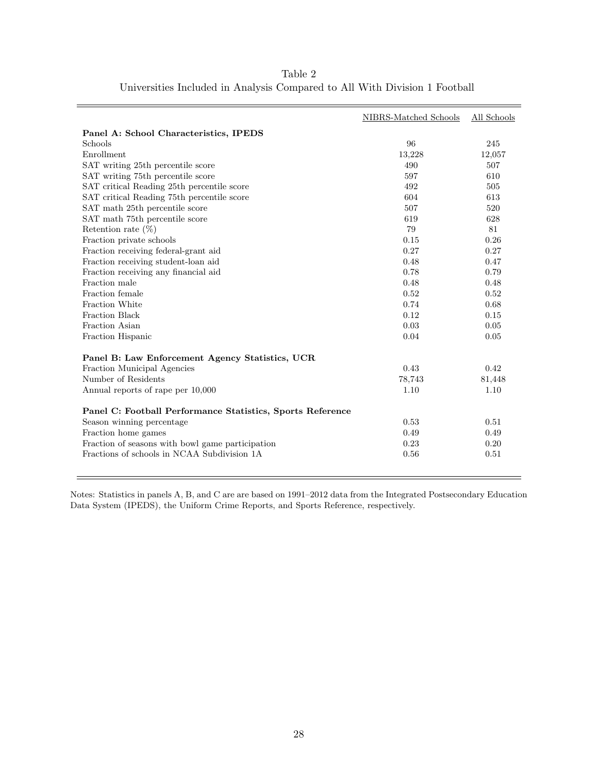<span id="page-29-0"></span>

|                                                            | NIBRS-Matched Schools | All Schools |
|------------------------------------------------------------|-----------------------|-------------|
|                                                            |                       |             |
| Panel A: School Characteristics, IPEDS                     |                       |             |
| Schools                                                    | 96                    | 245         |
| Enrollment                                                 | 13,228                | 12,057      |
| SAT writing 25th percentile score                          | 490                   | 507         |
| SAT writing 75th percentile score                          | 597                   | 610         |
| SAT critical Reading 25th percentile score                 | 492                   | 505         |
| SAT critical Reading 75th percentile score                 | 604                   | 613         |
| SAT math 25th percentile score                             | 507                   | 520         |
| SAT math 75th percentile score                             | 619                   | 628         |
| Retention rate $(\%)$                                      | 79                    | 81          |
| Fraction private schools                                   | 0.15                  | 0.26        |
| Fraction receiving federal-grant aid                       | 0.27                  | 0.27        |
| Fraction receiving student-loan aid                        | 0.48                  | 0.47        |
| Fraction receiving any financial aid                       | 0.78                  | 0.79        |
| Fraction male                                              | 0.48                  | 0.48        |
| Fraction female                                            | 0.52                  | 0.52        |
| Fraction White                                             | 0.74                  | 0.68        |
| <b>Fraction Black</b>                                      | 0.12                  | 0.15        |
| Fraction Asian                                             | 0.03                  | 0.05        |
| Fraction Hispanic                                          | 0.04                  | 0.05        |
| Panel B: Law Enforcement Agency Statistics, UCR            |                       |             |
| Fraction Municipal Agencies                                | 0.43                  | 0.42        |
| Number of Residents                                        | 78,743                | 81,448      |
| Annual reports of rape per 10,000                          | 1.10                  | 1.10        |
|                                                            |                       |             |
| Panel C: Football Performance Statistics, Sports Reference |                       |             |
| Season winning percentage                                  | 0.53                  | 0.51        |
| Fraction home games                                        | 0.49                  | 0.49        |
| Fraction of seasons with bowl game participation           | 0.23                  | 0.20        |
| Fractions of schools in NCAA Subdivision 1A                | 0.56                  | 0.51        |
|                                                            |                       |             |

Table 2 Universities Included in Analysis Compared to All With Division 1 Football

Notes: Statistics in panels A, B, and C are are based on 1991–2012 data from the Integrated Postsecondary Education Data System (IPEDS), the Uniform Crime Reports, and Sports Reference, respectively.

 $\equiv$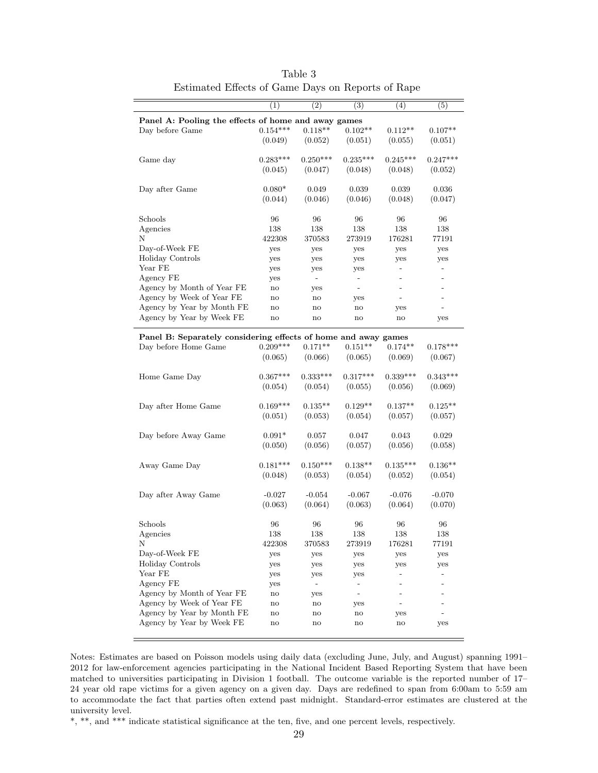|                                                                | (1)                        | (2)                          | (3)                      | (4)                        | (5)            |
|----------------------------------------------------------------|----------------------------|------------------------------|--------------------------|----------------------------|----------------|
| Panel A: Pooling the effects of home and away games            |                            |                              |                          |                            |                |
| Day before Game                                                | $0.154***$                 | $0.118**$                    | $0.102**$                | $0.112**$                  | $0.107**$      |
|                                                                | (0.049)                    | (0.052)                      | (0.051)                  | (0.055)                    | (0.051)        |
|                                                                |                            |                              |                          |                            |                |
| Game day                                                       | $0.283***$                 | $0.250***$                   | $0.235***$               | $0.245***$                 | $0.247***$     |
|                                                                | (0.045)                    | (0.047)                      | (0.048)                  | (0.048)                    | (0.052)        |
|                                                                |                            |                              |                          |                            |                |
| Day after Game                                                 | $0.080*$                   | 0.049                        | 0.039                    | 0.039                      | 0.036          |
|                                                                | (0.044)                    | (0.046)                      | (0.046)                  | (0.048)                    | (0.047)        |
|                                                                |                            |                              |                          |                            |                |
| Schools                                                        | 96                         | 96                           | 96                       | 96                         | 96             |
| Agencies                                                       | 138                        | 138                          | 138                      | 138                        | 138            |
| Ν                                                              | 422308                     | 370583                       | 273919                   | 176281                     | 77191          |
| Day-of-Week FE                                                 | yes                        | yes                          | yes                      | yes                        | yes            |
| Holiday Controls                                               | yes                        | yes                          | yes                      | yes                        | yes            |
| Year FE                                                        | yes                        | yes                          | yes                      | $\overline{a}$             | $\overline{a}$ |
| Agency FE                                                      | yes                        | $\overline{\phantom{a}}$     | $\overline{\phantom{0}}$ |                            |                |
| Agency by Month of Year FE                                     | no                         | yes                          | $\frac{1}{2}$            | $\overline{\phantom{a}}$   | ۰              |
| Agency by Week of Year FE                                      | no                         | no                           | yes                      | $\overline{a}$             | ۰              |
| Agency by Year by Month FE                                     | no                         | $\mathop{\mathrm{no}}$       | $\mathbf{n}$             | yes                        |                |
| Agency by Year by Week FE                                      | no                         | no                           | no                       | $\mathop{\rm no}\nolimits$ | yes            |
|                                                                |                            |                              |                          |                            |                |
| Panel B: Separately considering effects of home and away games |                            |                              |                          |                            |                |
| Day before Home Game                                           | $0.209***$                 | $0.171**$                    | $0.151**$                | $0.174**$                  | $0.178***$     |
|                                                                | (0.065)                    | (0.066)                      | (0.065)                  | (0.069)                    | (0.067)        |
|                                                                |                            |                              |                          |                            |                |
| Home Game Day                                                  | $0.367***$                 | $0.333***$                   | $0.317***$               | $0.339***$                 | $0.343***$     |
|                                                                | (0.054)                    | (0.054)                      | (0.055)                  | (0.056)                    | (0.069)        |
|                                                                | $0.169***$                 | $0.135**$                    | $0.129**$                | $0.137**$                  | $0.125**$      |
| Day after Home Game                                            |                            |                              |                          |                            |                |
|                                                                | (0.051)                    | (0.053)                      | (0.054)                  | (0.057)                    | (0.057)        |
| Day before Away Game                                           | $0.091*$                   | 0.057                        | 0.047                    | 0.043                      | 0.029          |
|                                                                | (0.050)                    | (0.056)                      | (0.057)                  | (0.056)                    | (0.058)        |
|                                                                |                            |                              |                          |                            |                |
| Away Game Day                                                  | $0.181***$                 | $0.150***$                   | $0.138**$                | $0.135***$                 | $0.136**$      |
|                                                                | (0.048)                    | (0.053)                      | (0.054)                  | (0.052)                    | (0.054)        |
|                                                                |                            |                              |                          |                            |                |
| Day after Away Game                                            | $-0.027$                   | $-0.054$                     | $-0.067$                 | $-0.076$                   | $-0.070$       |
|                                                                | (0.063)                    | (0.064)                      | (0.063)                  | (0.064)                    | (0.070)        |
|                                                                |                            |                              |                          |                            |                |
| Schools                                                        | 96                         | 96                           | 96                       | 96                         | 96             |
| Agencies                                                       | 138                        | 138                          | 138                      | 138                        | $138\,$        |
| Ν                                                              | 422308                     | 370583                       | 273919                   | 176281                     | 77191          |
| Day-of-Week FE                                                 | yes                        | yes                          | yes                      | yes                        | yes            |
| Holiday Controls                                               | yes                        | yes                          | yes                      | yes                        | yes            |
| Year $\rm FE$                                                  | yes                        | yes                          | yes                      |                            |                |
| Agency FE                                                      | yes                        | $\qquad \qquad \blacksquare$ | $\overline{\phantom{0}}$ |                            |                |
| Agency by Month of Year FE                                     | $\mathop{\rm no}\nolimits$ | yes                          | $\overline{\phantom{a}}$ |                            |                |
| Agency by Week of Year FE                                      | $\mathop{\rm no}\nolimits$ | $\mathop{\rm no}\nolimits$   | yes                      |                            |                |
| Agency by Year by Month FE                                     | $\mathbf{no}$              | $\mathop{\rm no}\nolimits$   | $\mathbf{n}$             | yes                        | ۰              |

<span id="page-30-1"></span>Table 3 Estimated Effects of Game Days on Reports of Rape

<span id="page-30-0"></span>þ

Notes: Estimates are based on Poisson models using daily data (excluding June, July, and August) spanning 1991– 2012 for law-enforcement agencies participating in the National Incident Based Reporting System that have been matched to universities participating in Division 1 football. The outcome variable is the reported number of 17– 24 year old rape victims for a given agency on a given day. Days are redefined to span from 6:00am to 5:59 am to accommodate the fact that parties often extend past midnight. Standard-error estimates are clustered at the university level.

Agency by Year by Week FE no no no no yes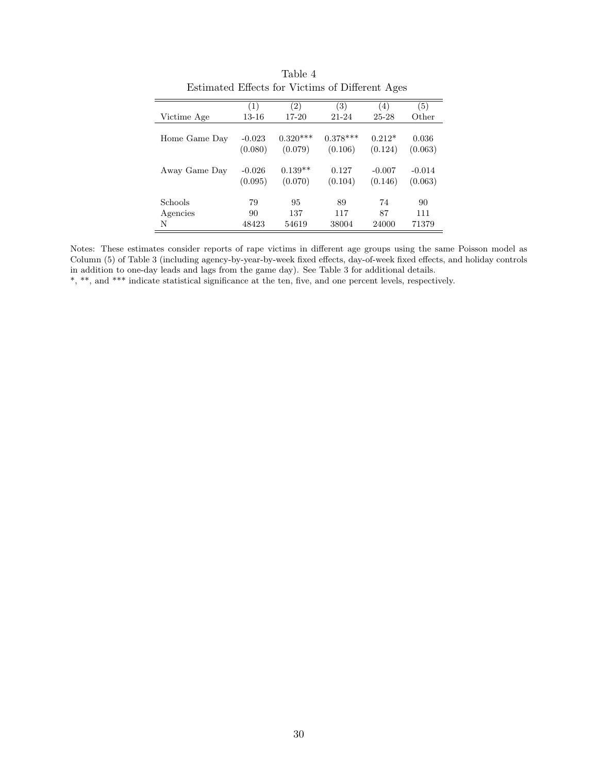<span id="page-31-0"></span>

|               | (1)       | (2)        | (3)        | (4)       | (5)      |
|---------------|-----------|------------|------------|-----------|----------|
| Victime Age   | $13 - 16$ | 17-20      | 21-24      | $25 - 28$ | Other    |
|               |           |            |            |           |          |
| Home Game Day | $-0.023$  | $0.320***$ | $0.378***$ | $0.212*$  | 0.036    |
|               | (0.080)   | (0.079)    | (0.106)    | (0.124)   | (0.063)  |
|               |           |            |            |           |          |
| Away Game Day | $-0.026$  | $0.139**$  | 0.127      | $-0.007$  | $-0.014$ |
|               | (0.095)   | (0.070)    | (0.104)    | (0.146)   | (0.063)  |
| Schools       | 79        | 95         | 89         | 74        | 90       |
|               | 90        | 137        | 117        | 87        | 111      |
| Agencies      |           |            |            |           |          |
| N             | 48423     | 54619      | 38004      | 24000     | 71379    |

Table 4 Estimated Effects for Victims of Different Ages

Notes: These estimates consider reports of rape victims in different age groups using the same Poisson model as Column (5) of Table [3](#page-30-0) (including agency-by-year-by-week fixed effects, day-of-week fixed effects, and holiday controls in addition to one-day leads and lags from the game day). See Table [3](#page-30-0) for additional details.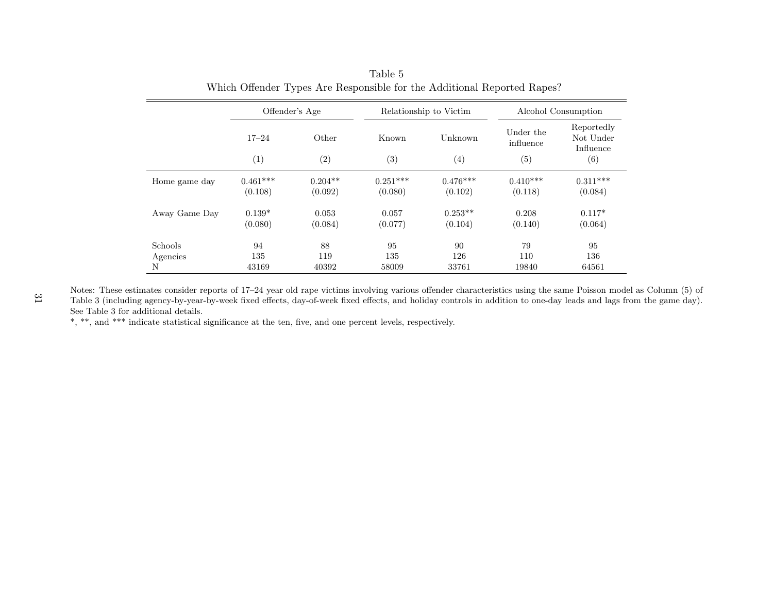|               | Offender's Age     |           |                  | Relationship to Victim | Alcohol Consumption    |                                      |  |
|---------------|--------------------|-----------|------------------|------------------------|------------------------|--------------------------------------|--|
|               | $17 - 24$<br>Other |           | Known<br>Unknown |                        | Under the<br>influence | Reportedly<br>Not Under<br>Influence |  |
|               | (1)                | (2)       | (3)              | (4)                    | (5)                    | (6)                                  |  |
| Home game day | $0.461***$         | $0.204**$ | $0.251***$       | $0.476***$             | $0.410***$             | $0.311***$                           |  |
|               | (0.108)            | (0.092)   | (0.080)          | (0.102)                | (0.118)                | (0.084)                              |  |
| Away Game Day | $0.139*$           | 0.053     | 0.057            | $0.253**$              | 0.208                  | $0.117*$                             |  |
|               | (0.080)            | (0.084)   | (0.077)          | (0.104)                | (0.140)                | (0.064)                              |  |
| Schools       | 94                 | 88        | 95               | 90                     | 79                     | 95                                   |  |
| Agencies      | 135                | 119       | 135              | 126                    | 110                    | 136                                  |  |
| N             | 43169              | 40392     | 58009            | 33761                  | 19840                  | 64561                                |  |

Table 5Which Offender Types Are Responsible for the Additional Reported Rapes?

<span id="page-32-0"></span>Notes: These estimates consider reports of 17–24 year old rape victims involving various offender characteristics using the same Poisson model as Column (5) of Table [3](#page-30-1) (including agency-by-year-by-week fixed effects, day-of-week fixed effects, and holiday controls in addition to one-day leads and lags from the game day). See Table [3](#page-30-1) for additional details.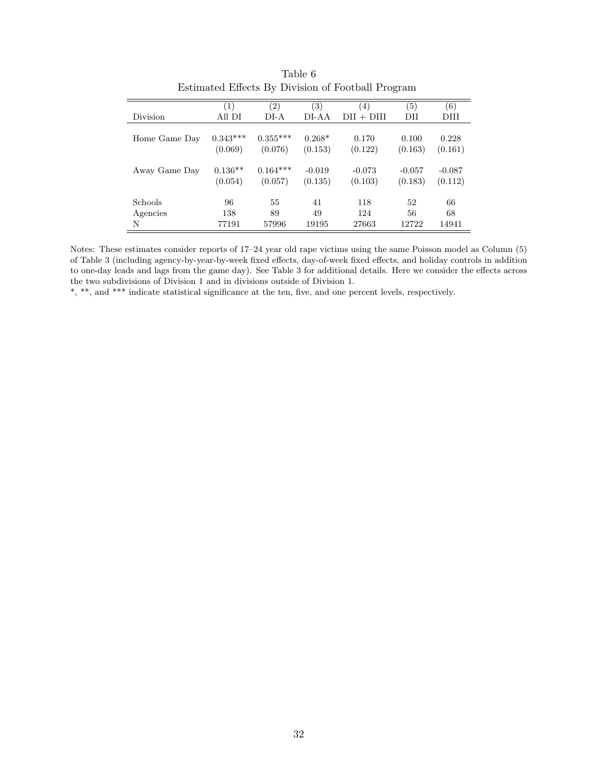<span id="page-33-0"></span>

|               | Estimated Encors D, Brindon of Footban Frogram |                   |          |                            |          |          |  |  |
|---------------|------------------------------------------------|-------------------|----------|----------------------------|----------|----------|--|--|
|               | (1)                                            | $\left( 2\right)$ | (3)      | (4)                        | 5)       | (6)      |  |  |
| Division      | All DI                                         | $DI-A$            | DI-AA    | $\text{DII} + \text{DIII}$ | DII      | DIII     |  |  |
|               |                                                |                   |          |                            |          |          |  |  |
| Home Game Day | $0.343***$                                     | $0.355***$        | $0.268*$ | 0.170                      | 0.100    | 0.228    |  |  |
|               | (0.069)                                        | (0.076)           | (0.153)  | (0.122)                    | (0.163)  | (0.161)  |  |  |
|               |                                                |                   |          |                            |          |          |  |  |
| Away Game Day | $0.136**$                                      | $0.164***$        | $-0.019$ | $-0.073$                   | $-0.057$ | $-0.087$ |  |  |
|               | (0.054)                                        | (0.057)           | (0.135)  | (0.103)                    | (0.183)  | (0.112)  |  |  |
|               |                                                |                   |          |                            |          |          |  |  |
| Schools       | 96                                             | 55                | 41       | 118                        | $52\,$   | 66       |  |  |
| Agencies      | 138                                            | 89                | 49       | 124                        | 56       | 68       |  |  |
| Ν             | 77191                                          | 57996             | 19195    | 27663                      | 12722    | 14941    |  |  |
|               |                                                |                   |          |                            |          |          |  |  |

Table 6 Estimated Effects By Division of Football Program

Notes: These estimates consider reports of 17–24 year old rape victims using the same Poisson model as Column (5) of Table [3](#page-30-0) (including agency-by-year-by-week fixed effects, day-of-week fixed effects, and holiday controls in addition to one-day leads and lags from the game day). See Table [3](#page-30-0) for additional details. Here we consider the effects across the two subdivisions of Division 1 and in divisions outside of Division 1.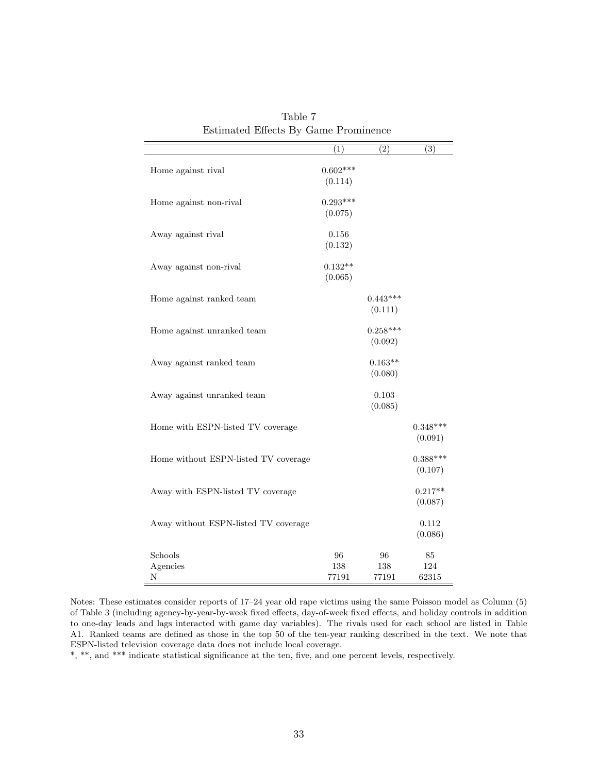<span id="page-34-0"></span>

|                                      | (1)                   | $\overline{(2)}$      | (3)                   |
|--------------------------------------|-----------------------|-----------------------|-----------------------|
| Home against rival                   | $0.602***$<br>(0.114) |                       |                       |
| Home against non-rival               | $0.293***$<br>(0.075) |                       |                       |
| Away against rival                   | 0.156<br>(0.132)      |                       |                       |
| Away against non-rival               | $0.132**$<br>(0.065)  |                       |                       |
| Home against ranked team             |                       | $0.443***$<br>(0.111) |                       |
| Home against unranked team           |                       | $0.258***$<br>(0.092) |                       |
| Away against ranked team             |                       | $0.163**$<br>(0.080)  |                       |
| Away against unranked team           |                       | 0.103<br>(0.085)      |                       |
| Home with ESPN-listed TV coverage    |                       |                       | $0.348***$<br>(0.091) |
| Home without ESPN-listed TV coverage |                       |                       | $0.388***$<br>(0.107) |
| Away with ESPN-listed TV coverage    |                       |                       | $0.217**$<br>(0.087)  |
| Away without ESPN-listed TV coverage |                       |                       | 0.112<br>(0.086)      |
| Schools<br>Agencies<br>Ν             | 96<br>138<br>77191    | 96<br>138<br>77191    | 85<br>124<br>62315    |

Table 7 Estimated Effects By Game Prominence

Notes: These estimates consider reports of 17–24 year old rape victims using the same Poisson model as Column (5) of Table [3](#page-30-0) (including agency-by-year-by-week fixed effects, day-of-week fixed effects, and holiday controls in addition to one-day leads and lags interacted with game day variables). The rivals used for each school are listed in Table [A1.](#page-39-0) Ranked teams are defined as those in the top 50 of the ten-year ranking described in the text. We note that ESPN-listed television coverage data does not include local coverage.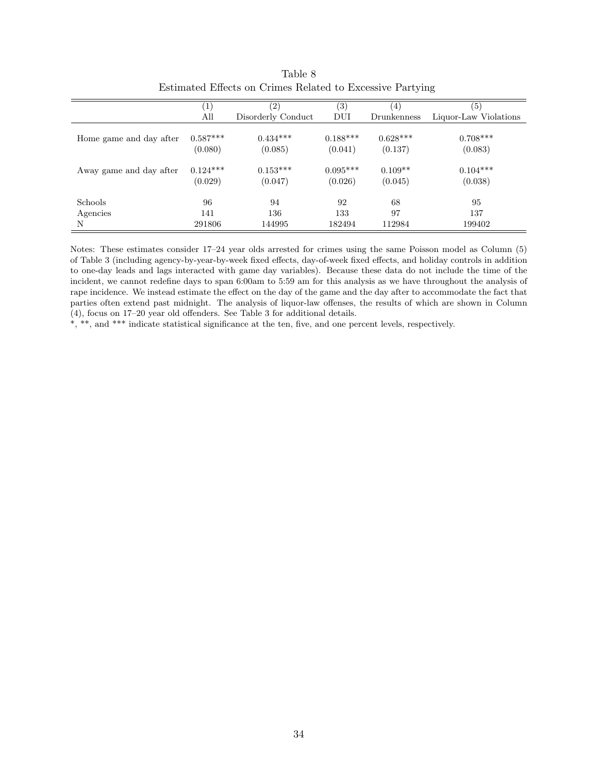<span id="page-35-0"></span>

|                         | $\left(1\right)$ | $\left( 2\right)$  | $\left( 3\right)$ | (4)         | (5)                   |
|-------------------------|------------------|--------------------|-------------------|-------------|-----------------------|
|                         | All              | Disorderly Conduct | DUI               | Drunkenness | Liquor-Law Violations |
|                         |                  |                    |                   |             |                       |
| Home game and day after | $0.587***$       | $0.434***$         | $0.188***$        | $0.628***$  | $0.708***$            |
|                         | (0.080)          | (0.085)            | (0.041)           | (0.137)     | (0.083)               |
| Away game and day after | $0.124***$       | $0.153***$         | $0.095***$        | $0.109**$   | $0.104***$            |
|                         | (0.029)          | (0.047)            | (0.026)           | (0.045)     | (0.038)               |
|                         |                  |                    |                   |             |                       |
| Schools                 | 96               | 94                 | 92                | 68          | 95                    |
| Agencies                | 141              | 136                | 133               | 97          | 137                   |
| N                       | 291806           | 144995             | 182494            | 112984      | 199402                |

Table 8 Estimated Effects on Crimes Related to Excessive Partying

Notes: These estimates consider 17–24 year olds arrested for crimes using the same Poisson model as Column (5) of Table [3](#page-30-0) (including agency-by-year-by-week fixed effects, day-of-week fixed effects, and holiday controls in addition to one-day leads and lags interacted with game day variables). Because these data do not include the time of the incident, we cannot redefine days to span 6:00am to 5:59 am for this analysis as we have throughout the analysis of rape incidence. We instead estimate the effect on the day of the game and the day after to accommodate the fact that parties often extend past midnight. The analysis of liquor-law offenses, the results of which are shown in Column (4), focus on 17–20 year old offenders. See Table [3](#page-30-0) for additional details.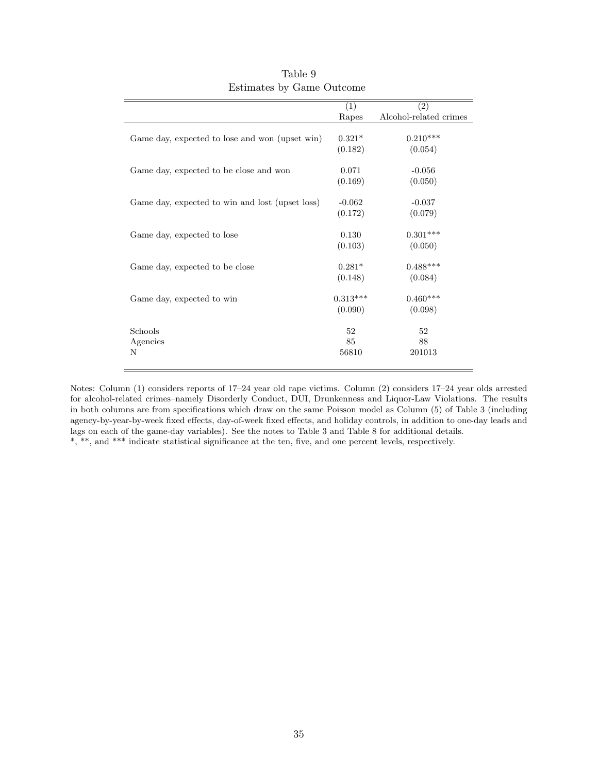<span id="page-36-0"></span>

|                                                 | (1)        | (2)                    |
|-------------------------------------------------|------------|------------------------|
|                                                 | Rapes      | Alcohol-related crimes |
|                                                 |            |                        |
| Game day, expected to lose and won (upset win)  | $0.321*$   | $0.210***$             |
|                                                 | (0.182)    | (0.054)                |
|                                                 |            |                        |
| Game day, expected to be close and won          | 0.071      | $-0.056$               |
|                                                 | (0.169)    | (0.050)                |
|                                                 |            |                        |
| Game day, expected to win and lost (upset loss) | $-0.062$   | $-0.037$               |
|                                                 | (0.172)    | (0.079)                |
|                                                 |            |                        |
| Game day, expected to lose                      | 0.130      | $0.301***$             |
|                                                 | (0.103)    | (0.050)                |
|                                                 |            |                        |
| Game day, expected to be close                  | $0.281*$   | $0.488***$             |
|                                                 |            |                        |
|                                                 | (0.148)    | (0.084)                |
|                                                 |            |                        |
| Game day, expected to win                       | $0.313***$ | $0.460***$             |
|                                                 | (0.090)    | (0.098)                |
|                                                 |            |                        |
| Schools                                         | 52         | 52                     |
| Agencies                                        | 85         | 88                     |
| Ν                                               | 56810      | 201013                 |
|                                                 |            |                        |

|                           | Table 9 |  |
|---------------------------|---------|--|
| Estimates by Game Outcome |         |  |

Notes: Column (1) considers reports of 17–24 year old rape victims. Column (2) considers 17–24 year olds arrested for alcohol-related crimes–namely Disorderly Conduct, DUI, Drunkenness and Liquor-Law Violations. The results in both columns are from specifications which draw on the same Poisson model as Column (5) of Table [3](#page-30-0) (including agency-by-year-by-week fixed effects, day-of-week fixed effects, and holiday controls, in addition to one-day leads and lags on each of the game-day variables). See the notes to Table [3](#page-30-0) and Table [8](#page-35-0) for additional details. \*, \*\*, and \*\*\* indicate statistical significance at the ten, five, and one percent levels, respectively.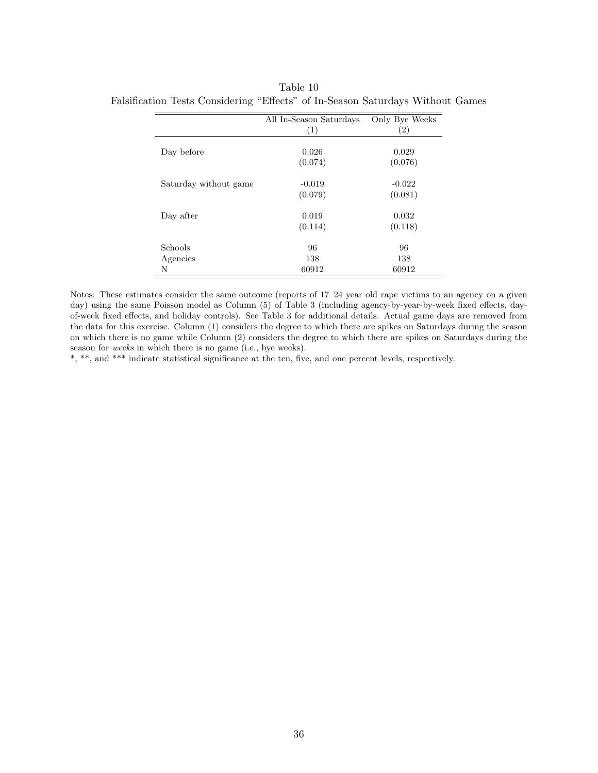|                       | All In-Season Saturdays | Only Bye Weeks    |
|-----------------------|-------------------------|-------------------|
|                       | (1)                     | $\left( 2\right)$ |
|                       | 0.026                   | 0.029             |
| Day before            |                         |                   |
|                       | (0.074)                 | (0.076)           |
| Saturday without game | $-0.019$                | $-0.022$          |
|                       | (0.079)                 | (0.081)           |
| Day after             | 0.019                   | 0.032             |
|                       | (0.114)                 | (0.118)           |
| Schools               | 96                      | 96                |
| Agencies              | 138                     | 138               |
| Ν                     | 60912                   | 60912             |

<span id="page-37-0"></span>Table 10 Falsification Tests Considering "Effects" of In-Season Saturdays Without Games

Notes: These estimates consider the same outcome (reports of 17–24 year old rape victims to an agency on a given day) using the same Poisson model as Column (5) of Table [3](#page-30-0) (including agency-by-year-by-week fixed effects, dayof-week fixed effects, and holiday controls). See Table [3](#page-30-0) for additional details. Actual game days are removed from the data for this exercise. Column (1) considers the degree to which there are spikes on Saturdays during the season on which there is no game while Column (2) considers the degree to which there are spikes on Saturdays during the season for weeks in which there is no game (i.e., bye weeks).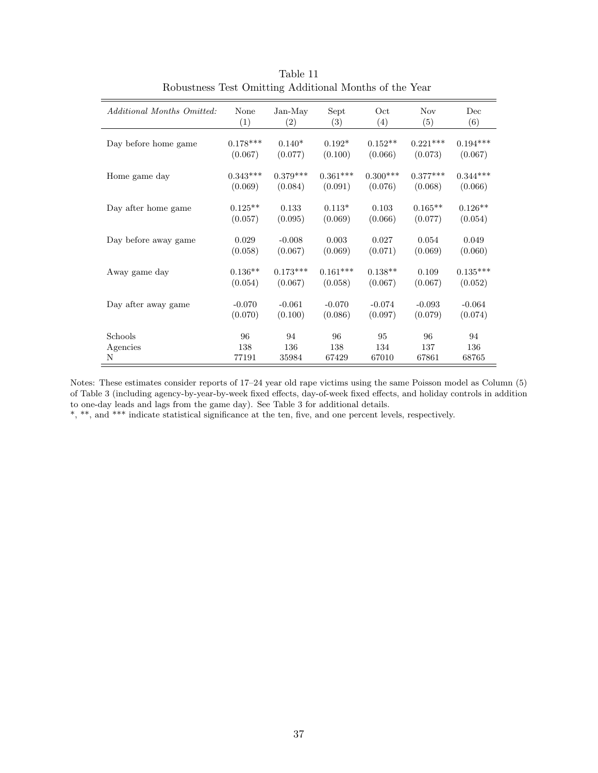<span id="page-38-0"></span>

| Additional Months Omitted: | None<br>(1)           | Jan-May<br>$\left( 2\right)$ | Sept<br>(3)         | Oct<br>(4)           | <b>Nov</b><br>(5)     | Dec<br>(6)            |
|----------------------------|-----------------------|------------------------------|---------------------|----------------------|-----------------------|-----------------------|
|                            |                       |                              |                     |                      |                       |                       |
| Day before home game       | $0.178***$<br>(0.067) | $0.140*$<br>(0.077)          | $0.192*$<br>(0.100) | $0.152**$<br>(0.066) | $0.221***$<br>(0.073) | $0.194***$<br>(0.067) |
|                            |                       |                              |                     |                      |                       |                       |
| Home game day              | $0.343***$            | $0.379***$                   | $0.361***$          | $0.300***$           | $0.377***$            | $0.344***$            |
|                            | (0.069)               | (0.084)                      | (0.091)             | (0.076)              | (0.068)               | (0.066)               |
| Day after home game        | $0.125**$             | 0.133                        | $0.113*$            | 0.103                | $0.165**$             | $0.126**$             |
|                            | (0.057)               | (0.095)                      | (0.069)             | (0.066)              | (0.077)               | (0.054)               |
| Day before away game       | 0.029                 | $-0.008$                     | 0.003               | 0.027                | 0.054                 | 0.049                 |
|                            | (0.058)               | (0.067)                      | (0.069)             | (0.071)              | (0.069)               | (0.060)               |
| Away game day              | $0.136**$             | $0.173***$                   | $0.161***$          | $0.138**$            | 0.109                 | $0.135***$            |
|                            | (0.054)               | (0.067)                      | (0.058)             | (0.067)              | (0.067)               | (0.052)               |
|                            |                       |                              |                     |                      |                       |                       |
| Day after away game        | $-0.070$              | $-0.061$                     | $-0.070$            | $-0.074$             | $-0.093$              | $-0.064$              |
|                            | (0.070)               | (0.100)                      | (0.086)             | (0.097)              | (0.079)               | (0.074)               |
| Schools                    | 96                    | 94                           | 96                  | 95                   | 96                    | 94                    |
|                            |                       |                              |                     |                      |                       |                       |
| Agencies                   | 138                   | 136                          | 138                 | 134                  | 137                   | 136                   |
| N                          | 77191                 | 35984                        | 67429               | 67010                | 67861                 | 68765                 |

Table 11 Robustness Test Omitting Additional Months of the Year

Notes: These estimates consider reports of 17–24 year old rape victims using the same Poisson model as Column (5) of Table [3](#page-30-0) (including agency-by-year-by-week fixed effects, day-of-week fixed effects, and holiday controls in addition to one-day leads and lags from the game day). See Table [3](#page-30-0) for additional details.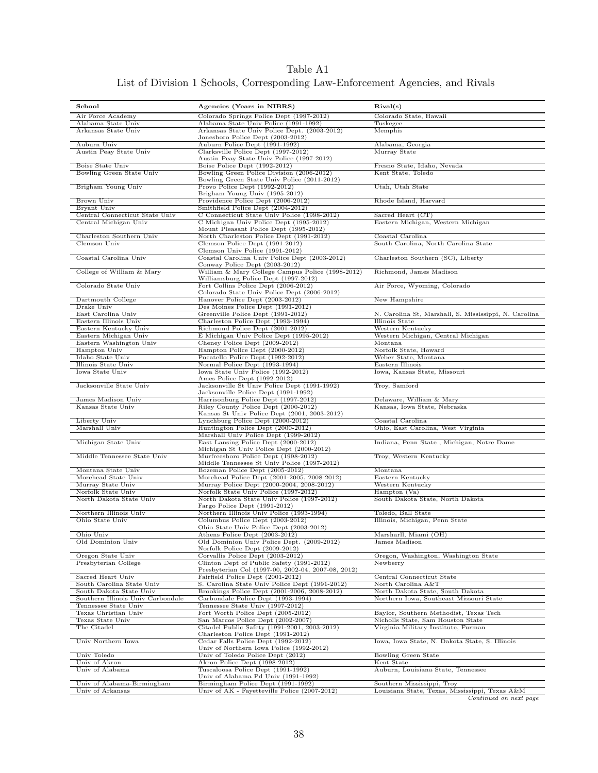Table A1 List of Division 1 Schools, Corresponding Law-Enforcement Agencies, and Rivals

<span id="page-39-0"></span>

| School                                         | Agencies (Years in NIBRS)                                                            | Rival(s)                                                                       |
|------------------------------------------------|--------------------------------------------------------------------------------------|--------------------------------------------------------------------------------|
| Air Force Academy                              | Colorado Springs Police Dept (1997-2012)                                             | Colorado State, Hawaii                                                         |
| Alabama State Univ                             | Alabama State Univ Police (1991-1992)                                                | Tuskegee                                                                       |
| Arkansas State Univ                            | Arkansas State Univ Police Dept. (2003-2012)                                         | Memphis                                                                        |
| Auburn Univ                                    | Jonesboro Police Dept (2003-2012)                                                    |                                                                                |
| Austin Peay State Univ                         | Auburn Police Dept (1991-1992)<br>Clarksville Police Dept (1997-2012)                | Alabama, Georgia<br>Murray State                                               |
|                                                | Austin Peay State Univ Police (1997-2012)                                            |                                                                                |
| Boise State Univ                               | Boise Police Dept (1992-2012)                                                        | Fresno State, Idaho, Nevada                                                    |
| Bowling Green State Univ                       | Bowling Green Police Division (2006-2012)                                            | Kent State, Toledo                                                             |
|                                                | Bowling Green State Univ Police (2011-2012)                                          |                                                                                |
| Brigham Young Univ                             | Provo Police Dept (1992-2012)<br>Brigham Young Univ (1995-2012)                      | Utah, Utah State                                                               |
| Brown Univ                                     | Providence Police Dept (2006-2012)                                                   | Rhode Island, Harvard                                                          |
| Bryant Univ                                    | Smithfield Police Dept (2004-2012)                                                   |                                                                                |
| Central Connecticut State Univ                 | C Connecticut State Univ Police (1998-2012)                                          | Sacred Heart (CT)                                                              |
| Central Michigan Univ                          | C Michigan Univ Police Dept (1995-2012)                                              | Eastern Michigan, Western Michigan                                             |
| Charleston Southern Univ                       | Mount Pleasant Police Dept (1995-2012)<br>North Charleston Police Dept (1991-2012)   | Coastal Carolina                                                               |
| Clemson Univ                                   | Clemson Police Dept (1991-2012)                                                      | South Carolina, North Carolina State                                           |
|                                                | Clemson Univ Police (1991-2012)                                                      |                                                                                |
| Coastal Carolina Univ                          | Coastal Carolina Univ Police Dept (2003-2012)                                        | Charleston Southern (SC), Liberty                                              |
|                                                | Conway Police Dept (2003-2012)<br>William & Mary College Campus Police (1998-2012)   | Richmond, James Madison                                                        |
| College of William & Mary                      | Williamsburg Police Dept (1997-2012)                                                 |                                                                                |
| Colorado State Univ                            | Fort Collins Police Dept (2006-2012)                                                 | Air Force, Wyoming, Colorado                                                   |
|                                                | Colorado State Univ Police Dept (2006-2012)                                          |                                                                                |
| Dartmouth College                              | Hanover Police Dept (2003-2012)                                                      | New Hampshire                                                                  |
| Drake Univ                                     | Des Moines Police Dept (1991-2012)                                                   |                                                                                |
| East Carolina Univ<br>Eastern Illinois Univ    | Greenville Police Dept (1991-2012)<br>Charleston Police Dept (1993-1994)             | N. Carolina St, Marshall, S. Mississippi, N. Carolina<br><b>Illinois</b> State |
| Eastern Kentucky Univ                          | Richmond Police Dept (2001-2012)                                                     | Western Kentucky                                                               |
| Eastern Michigan Univ                          | E Michigan Univ Police Dept (1995-2012)                                              | Western Michigan, Central Michigan                                             |
| Eastern Washington Univ                        | Cheney Police Dept (2009-2012)                                                       | Montana                                                                        |
| Hampton Univ                                   | Hampton Police Dept (2000-2012)                                                      | Norfolk State, Howard                                                          |
| Idaho State Univ                               | Pocatello Police Dept (1992-2012)                                                    | Weber State, Montana                                                           |
| Illinois State Univ<br>Iowa State Univ         | Normal Police Dept (1993-1994)<br>Iowa State Univ Police (1992-2012)                 | Eastern Illinois<br>Iowa, Kansas State, Missouri                               |
|                                                | Ames Police Dept (1992-2012)                                                         |                                                                                |
| Jacksonville State Univ                        | Jacksonville St Univ Police Dept (1991-1992)                                         | Troy, Samford                                                                  |
|                                                | Jacksonville Police Dept (1991-1992)                                                 |                                                                                |
| James Madison Univ<br>Kansas State Univ        | Harrisonburg Police Dept (1997-2012)                                                 | Delaware, William & Mary                                                       |
|                                                | Riley County Police Dept (2000-2012)<br>Kansas St Univ Police Dept (2001, 2003-2012) | Kansas, Iowa State, Nebraska                                                   |
| Liberty Univ                                   | Lynchburg Police Dept (2000-2012)                                                    | Coastal Carolina                                                               |
| Marshall Univ                                  | Huntington Police Dept (2000-2012)                                                   | Ohio, East Carolina, West Virginia                                             |
|                                                | Marshall Univ Police Dept (1999-2012)                                                |                                                                                |
| Michigan State Univ                            | East Lansing Police Dept (2000-2012)<br>Michigan St Univ Police Dept (2000-2012)     | Indiana, Penn State, Michigan, Notre Dame                                      |
| Middle Tennessee State Univ                    | Murfreesboro Police Dept (1998-2012)                                                 | Troy, Western Kentucky                                                         |
|                                                | Middle Tennessee St Univ Police (1997-2012)                                          |                                                                                |
| Montana State Univ                             | Bozeman Police Dept (2005-2012)                                                      | Montana                                                                        |
| Morehead State Univ                            | Morehead Police Dept (2001-2005, 2008-2012)                                          | Eastern Kentucky                                                               |
| Murray State Univ<br>Norfolk State Univ        | Murray Police Dept (2000-2004, 2008-2012)<br>Norfolk State Univ Police (1997-2012)   | Western Kentucky                                                               |
| North Dakota State Univ                        | North Dakota State Univ Police (1997-2012)                                           | Hampton (Va)<br>South Dakota State, North Dakota                               |
|                                                | Fargo Police Dept (1991-2012)                                                        |                                                                                |
| Northern Illinois Univ                         | Northern Illinois Univ Police (1993-1994)                                            | Toledo, Ball State                                                             |
| Ohio State Univ                                | Columbus Police Dept (2003-2012)                                                     | Illinois, Michigan, Penn State                                                 |
|                                                | Ohio State Univ Police Dept (2003-2012)                                              |                                                                                |
| Ohio Univ<br>Old Dominion Univ                 | Athens Police Dept (2003-2012)<br>Old Dominion Univ Police Dept. (2009-2012)         | Marsharll, Miami (OH)<br>James Madison                                         |
|                                                | Norfolk Police Dept (2009-2012)                                                      |                                                                                |
| Oregon State Univ                              | Corvallis Police Dept (2003-2012)                                                    | Oregon, Washington, Washington State                                           |
| Presbyterian College                           | Clinton Dept of Public Safety (1991-2012)                                            | Newberry                                                                       |
|                                                | Presbyterian Col (1997-00, 2002-04, 2007-08, 2012)                                   |                                                                                |
| Sacred Heart Univ<br>South Carolina State Univ | Fairfield Police Dept (2001-2012)<br>S. Carolina State Univ Police Dept (1991-2012)  | Central Connecticut State<br>North Carolina A&T                                |
| South Dakota State Univ                        | Brookings Police Dept (2001-2006, 2008-2012)                                         | North Dakota State, South Dakota                                               |
| Southern Illinois Univ Carbondale              | Carbondale Police Dept (1993-1994)                                                   | Northern Iowa, Southeast Missouri State                                        |
| Tennessee State Univ                           | Tennessee State Univ (1997-2012)                                                     |                                                                                |
| Texas Christian Univ                           | Fort Worth Police Dept (2005-2012)                                                   | Baylor, Southern Methodist, Texas Tech                                         |
| Texas State Univ                               | San Marcos Police Dept (2002-2007)                                                   | Nicholls State, Sam Houston State<br>Virginia Military Institute, Furman       |
| The Citadel                                    | Citadel Public Safety (1991-2001, 2003-2012)<br>Charleston Police Dept (1991-2012)   |                                                                                |
| Univ Northern Iowa                             | Cedar Falls Police Dept (1992-2012)                                                  | Iowa, Iowa State, N. Dakota State, S. Illinois                                 |
|                                                | Univ of Northern Iowa Police (1992-2012)                                             |                                                                                |
| Univ Toledo                                    | Univ of Toledo Police Dept (2012)                                                    | Bowling Green State                                                            |
| Univ of Akron                                  | Akron Police Dept (1998-2012)                                                        | Kent State                                                                     |
| Univ of Alabama                                | Tuscaloosa Police Dept (1991-1992)<br>Univ of Alabama Pd Univ (1991-1992)            | Auburn, Louisiana State, Tennessee                                             |
| Univ of Alabama-Birmingham                     | Birmingham Police Dept (1991-1992)                                                   | Southern Mississippi, Troy                                                     |
| Univ of Arkansas                               | Univ of AK - Fayetteville Police (2007-2012)                                         | Louisiana State, Texas, Mississippi, Texas A&M                                 |
|                                                |                                                                                      | Continued on next non                                                          |

Continued on next page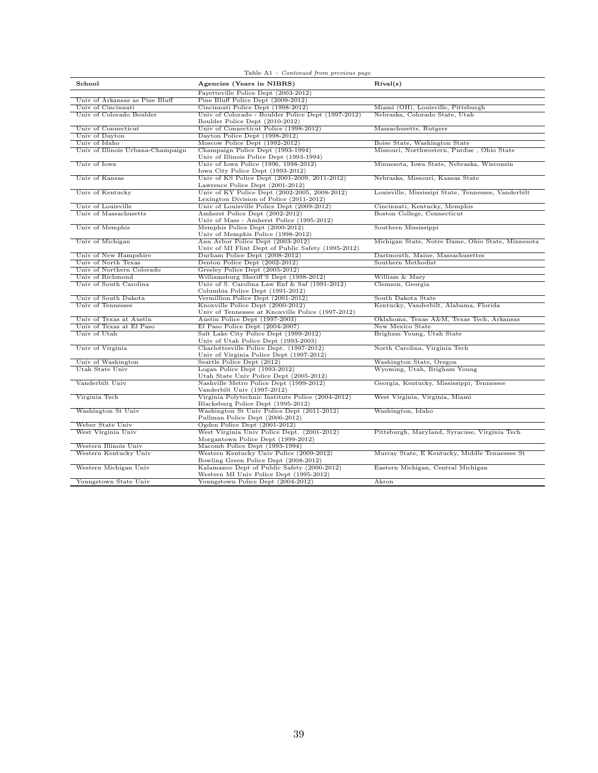|                                   | Table $A1$ – <i>Continued from previous page</i>                                          |                                                     |
|-----------------------------------|-------------------------------------------------------------------------------------------|-----------------------------------------------------|
| School                            | Agencies (Years in NIBRS)                                                                 | Rival(s)                                            |
|                                   | Fayetteville Police Dept (2003-2012)                                                      |                                                     |
| Univ of Arkansas as Pine Bluff    | Pine Bluff Police Dept (2009-2012)                                                        |                                                     |
| Univ of Cincinnati                | Cincinnati Police Dept (1998-2012)                                                        | Miami (OH), Louisville, Pittsburgh                  |
| Univ of Colorado Boulder          | Univ of Colorado - Boulder Police Dept (1997-2012)<br>Boulder Police Dept (2010-2012)     | Nebraska, Colorado State, Utah                      |
| Univ of Connecticut               | Univ of Connecticut Police (1998-2012)                                                    | Massachusetts, Rutgers                              |
| Univ of Dayton                    | Dayton Police Dept (1998-2012)                                                            |                                                     |
| Univ of Idaho                     | Moscow Police Dept (1992-2012)                                                            | Boise State, Washington State                       |
| Univ of Illinois Urbana-Champaign | Champaign Police Dept (1993-1994)<br>Univ of Illinois Police Dept (1993-1994)             | Missouri, Northwestern, Purdue, Ohio State          |
| Univ of Iowa                      | Univ of Iowa Police (1996, 1998-2012)<br>Iowa City Police Dept (1993-2012)                | Minnesota, Iowa State, Nebraska, Wisconsin          |
| Univ of Kansas                    | Univ of KS Police Dept (2001-2009, 2011-2012)<br>Lawrence Police Dept (2001-2012)         | Nebraska, Missouri, Kansas State                    |
| Univ of Kentucky                  | Univ of KY Police Dept (2002-2005, 2008-2012)<br>Lexington Division of Police (2011-2012) | Louisville, Mississipi State, Tennessee, Vanderbilt |
| Univ of Louisville                | Univ of Louisville Police Dept (2009-2012)                                                | Cincinnati, Kentucky, Memphis                       |
| Univ of Massachusetts             | Amherst Police Dept (2002-2012)<br>Univ of Mass - Amherst Police (1995-2012)              | Boston College, Connecticut                         |
| Univ of Memphis                   | Memphis Police Dept (2000-2012)<br>Univ of Memphis Police (1998-2012)                     | Southern Mississippi                                |
| Univ of Michigan                  | Ann Arbor Police Dept (2003-2012)<br>Univ of MI Flint Dept of Public Safety (1995-2012)   | Michigan State, Notre Dame, Ohio State, Minnesota   |
| Univ of New Hampshire             | Durham Police Dept (2008-2012)                                                            | Dartmouth, Maine, Massachusettes                    |
| Univ of North Texas               | Denton Police Dept (2002-2012)                                                            | Southern Methodist                                  |
| Univ of Northern Colorado         | Greeley Police Dept (2005-2012)                                                           |                                                     |
| Univ of Richmond                  | Williamsburg Sheriff'S Dept (1998-2012)                                                   | William & Mary                                      |
| Univ of South Carolina            | Univ of S. Carolina Law Enf & Saf $(1991-2012)$<br>Columbia Police Dept (1991-2012)       | Clemson, Georgia                                    |
| Univ of South Dakota              | Vermillion Police Dept (2001-2012)                                                        | South Dakota State                                  |
| Univ of Tennessee                 | Knoxville Police Dept (2000-2012)<br>Univ of Tennessee at Knoxville Police (1997-2012)    | Kentucky, Vanderbilt, Alabama, Florida              |
| Univ of Texas at Austin           | Austin Police Dept (1997-2003)                                                            | Oklahoma, Texas A&M, Texas Tech, Arkansas           |
| Univ of Texas at El Paso          | El Paso Police Dept (2004-2007)                                                           | New Mexico State                                    |
| Univ of Utah                      | Salt Lake City Police Dept (1999-2012)<br>Univ of Utah Police Dept (1993-2003)            | Brigham Young, Utah State                           |
| Univ of Virginia                  | Charlottesville Police Dept. (1997-2012)<br>Univ of Virginia Police Dept (1997-2012)      | North Carolina, Virginia Tech                       |
| Univ of Washington                | Seattle Police Dept (2012)                                                                | Washington State, Oregon                            |
| Utah State Univ                   | Logan Police Dept (1993-2012)<br>Utah State Univ Police Dept (2005-2012)                  | Wyoming, Utah, Brigham Young                        |
| Vanderbilt Univ                   | Nashville Metro Police Dept (1999-2012)<br>Vanderbilt Univ (1997-2012)                    | Georgia, Kentucky, Mississippi, Tennessee           |
| Virginia Tech                     | Virginia Polytechnic Institute Police (2004-2012)<br>Blacksburg Police Dept (1995-2012)   | West Virginia, Virginia, Miami                      |
| Washington St Univ                | Washington St Univ Police Dept (2011-2012)<br>Pullman Police Dept (2006-2012)             | Washington, Idaho                                   |
| Weber State Univ                  | Ogden Police Dept (2001-2012)                                                             |                                                     |
| West Virginia Univ                | West Virginia Univ Police Dept. (2001-2012)<br>Morgantown Police Dept (1999-2012)         | Pittsburgh, Maryland, Syracuse, Virginia Tech       |
| Western Illinois Univ             | Macomb Police Dept (1993-1994)                                                            |                                                     |
| Western Kentucky Univ             | Western Kentucky Univ Police (2009-2012)<br>Bowling Green Police Dept (2008-2012)         | Murray State, E Kentucky, Middle Tennessee St       |
| Western Michigan Univ             | Kalamazoo Dept of Public Safety (2000-2012)<br>Western MI Univ Police Dept (1995-2012)    | Eastern Michigan, Central Michigan                  |
| Youngstown State Univ             | Youngstown Police Dept (2004-2012)                                                        | Akron                                               |